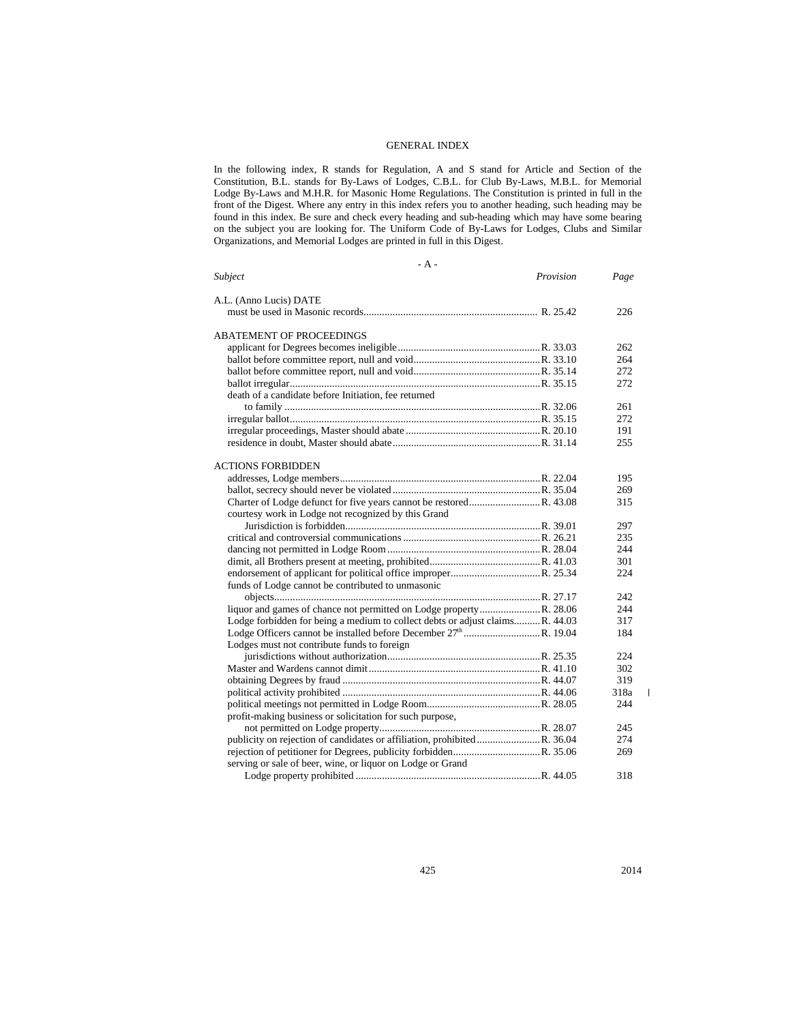#### GENERAL INDEX

In the following index, R stands for Regulation, A and S stand for Article and Section of the Constitution, B.L. stands for By-Laws of Lodges, C.B.L. for Club By-Laws, M.B.L. for Memorial Lodge By-Laws and M.H.R. for Masonic Home Regulations. The Constitution is printed in full in the front of the Digest. Where any entry in this index refers you to another heading, such heading may be found in this index. Be sure and check every heading and sub-heading which may have some bearing on the subject you are looking for. The Uniform Code of By-Laws for Lodges, Clubs and Similar Organizations, and Memorial Lodges are printed in full in this Digest.

- A -

| <b>Subject</b>                                                               | Provision | Page |
|------------------------------------------------------------------------------|-----------|------|
| A.L. (Anno Lucis) DATE                                                       |           |      |
|                                                                              |           | 226  |
| ABATEMENT OF PROCEEDINGS                                                     |           |      |
|                                                                              |           | 262  |
|                                                                              |           | 264  |
|                                                                              |           | 272  |
|                                                                              |           | 272  |
| death of a candidate before Initiation, fee returned                         |           |      |
|                                                                              |           | 261  |
|                                                                              |           | 272  |
|                                                                              |           | 191  |
|                                                                              |           | 255  |
|                                                                              |           |      |
| <b>ACTIONS FORBIDDEN</b>                                                     |           |      |
|                                                                              |           | 195  |
|                                                                              |           | 269  |
|                                                                              |           | 315  |
| courtesy work in Lodge not recognized by this Grand                          |           |      |
|                                                                              |           | 297  |
|                                                                              |           | 235  |
|                                                                              |           | 244  |
|                                                                              |           | 301  |
|                                                                              |           | 224  |
| funds of Lodge cannot be contributed to unmasonic                            |           |      |
|                                                                              |           | 242  |
| liquor and games of chance not permitted on Lodge property R. 28.06          |           | 244  |
| Lodge forbidden for being a medium to collect debts or adjust claimsR. 44.03 |           | 317  |
|                                                                              |           | 184  |
| Lodges must not contribute funds to foreign                                  |           |      |
|                                                                              |           | 224  |
|                                                                              |           | 302  |
|                                                                              |           | 319  |
|                                                                              |           | 318a |
|                                                                              |           | 244  |
| profit-making business or solicitation for such purpose,                     |           |      |
|                                                                              |           | 245  |
|                                                                              |           | 274  |
|                                                                              |           | 269  |
| serving or sale of beer, wine, or liquor on Lodge or Grand                   |           |      |
|                                                                              |           | 318  |

 $\mathsf I$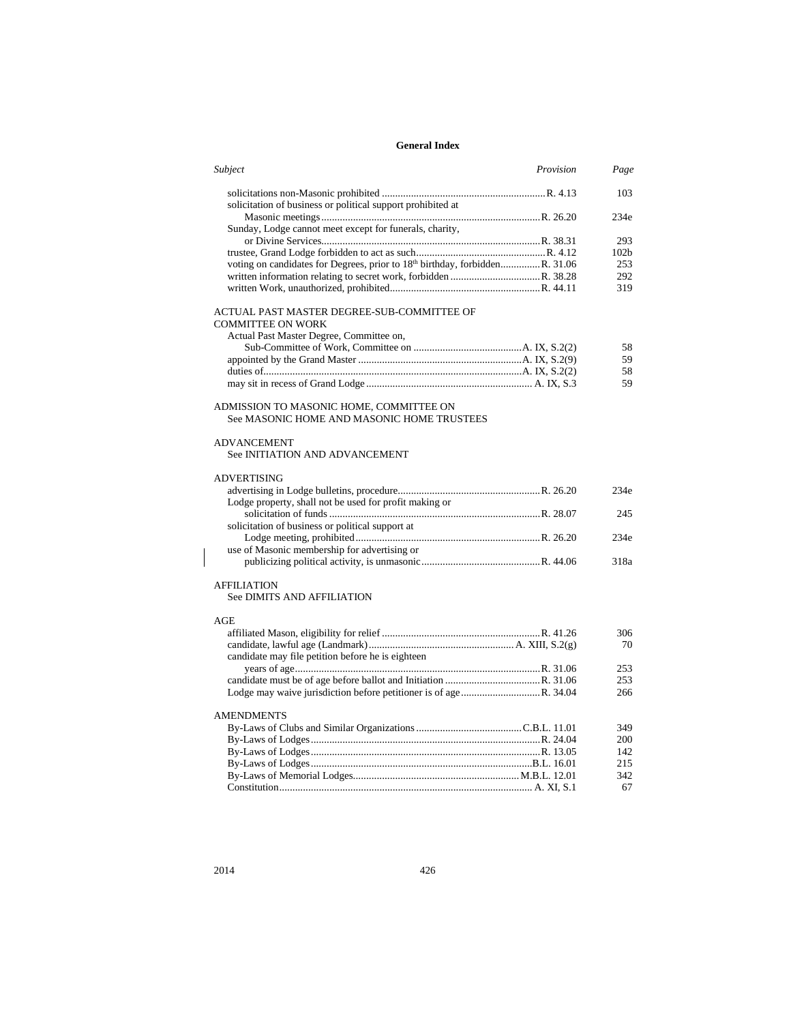| Subject                                                                               | Provision | Page             |
|---------------------------------------------------------------------------------------|-----------|------------------|
|                                                                                       |           | 103              |
| solicitation of business or political support prohibited at                           |           |                  |
|                                                                                       |           | 234e             |
| Sunday, Lodge cannot meet except for funerals, charity,                               |           |                  |
|                                                                                       |           | 293              |
| voting on candidates for Degrees, prior to 18th birthday, forbiddenR. 31.06           |           | 102 <sub>b</sub> |
|                                                                                       |           | 253              |
|                                                                                       |           | 292<br>319       |
|                                                                                       |           |                  |
| ACTUAL PAST MASTER DEGREE-SUB-COMMITTEE OF                                            |           |                  |
| <b>COMMITTEE ON WORK</b>                                                              |           |                  |
| Actual Past Master Degree, Committee on,                                              |           |                  |
|                                                                                       |           | 58               |
|                                                                                       |           | 59               |
|                                                                                       |           | 58               |
|                                                                                       |           | 59               |
|                                                                                       |           |                  |
| ADMISSION TO MASONIC HOME, COMMITTEE ON<br>See MASONIC HOME AND MASONIC HOME TRUSTEES |           |                  |
| <b>ADVANCEMENT</b>                                                                    |           |                  |
|                                                                                       |           |                  |
| See INITIATION AND ADVANCEMENT                                                        |           |                  |
| <b>ADVERTISING</b>                                                                    |           |                  |
|                                                                                       |           | 234e             |
| Lodge property, shall not be used for profit making or                                |           |                  |
|                                                                                       |           | 245              |
| solicitation of business or political support at                                      |           |                  |
|                                                                                       |           | 234e             |
| use of Masonic membership for advertising or                                          |           |                  |
|                                                                                       |           | 318a             |
|                                                                                       |           |                  |
| <b>AFFILIATION</b>                                                                    |           |                  |
| See DIMITS AND AFFILIATION                                                            |           |                  |
|                                                                                       |           |                  |
| AGE                                                                                   |           |                  |
|                                                                                       |           | 306              |
|                                                                                       |           | 70               |
| candidate may file petition before he is eighteen                                     |           |                  |
|                                                                                       |           | 253              |
|                                                                                       |           | 253              |
|                                                                                       |           | 266              |
| <b>AMENDMENTS</b>                                                                     |           |                  |
|                                                                                       |           |                  |
|                                                                                       |           | 349<br>200       |
|                                                                                       |           |                  |
|                                                                                       |           | 142<br>215       |
|                                                                                       |           | 342              |
|                                                                                       |           | 67               |
|                                                                                       |           |                  |

 $\overline{\phantom{a}}$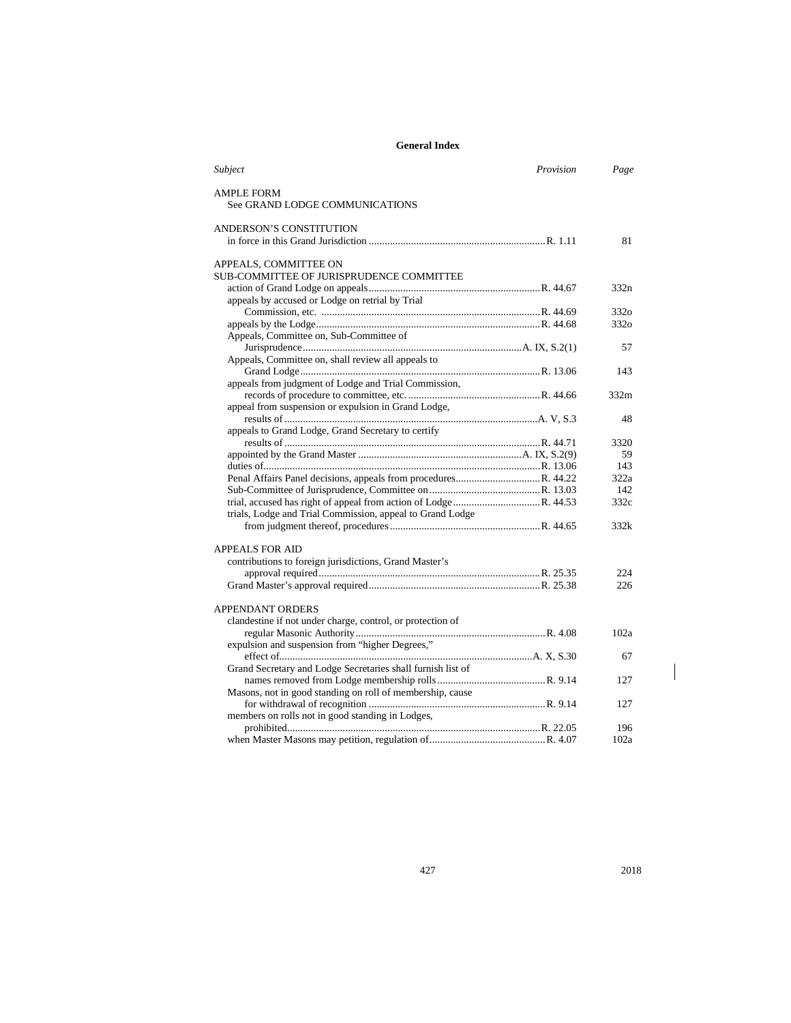| Subject                                                     | Provision | Page             |
|-------------------------------------------------------------|-----------|------------------|
| <b>AMPLE FORM</b>                                           |           |                  |
| See GRAND LODGE COMMUNICATIONS                              |           |                  |
| ANDERSON'S CONSTITUTION                                     |           |                  |
|                                                             |           | 81               |
| APPEALS, COMMITTEE ON                                       |           |                  |
| <b>SUB-COMMITTEE OF JURISPRUDENCE COMMITTEE</b>             |           |                  |
|                                                             |           | 332n             |
| appeals by accused or Lodge on retrial by Trial             |           |                  |
|                                                             |           | 3320             |
|                                                             |           | 332 <sub>o</sub> |
| Appeals, Committee on, Sub-Committee of                     |           |                  |
|                                                             |           | 57               |
| Appeals, Committee on, shall review all appeals to          |           |                  |
|                                                             |           | 143              |
| appeals from judgment of Lodge and Trial Commission,        |           |                  |
|                                                             |           | 332m             |
| appeal from suspension or expulsion in Grand Lodge,         |           |                  |
|                                                             |           | 48               |
| appeals to Grand Lodge, Grand Secretary to certify          |           |                  |
|                                                             |           | 3320             |
|                                                             |           | 59               |
|                                                             |           | 143              |
|                                                             |           | 322a             |
|                                                             |           | 142              |
|                                                             |           | 332c             |
| trials, Lodge and Trial Commission, appeal to Grand Lodge   |           |                  |
|                                                             |           | 332k             |
|                                                             |           |                  |
| <b>APPEALS FOR AID</b>                                      |           |                  |
| contributions to foreign jurisdictions, Grand Master's      |           |                  |
|                                                             |           | 224              |
|                                                             |           | 226              |
|                                                             |           |                  |
| <b>APPENDANT ORDERS</b>                                     |           |                  |
| clandestine if not under charge, control, or protection of  |           |                  |
|                                                             |           | 102a             |
| expulsion and suspension from "higher Degrees,"             |           |                  |
|                                                             |           | 67               |
| Grand Secretary and Lodge Secretaries shall furnish list of |           |                  |
|                                                             |           | 127              |
| Masons, not in good standing on roll of membership, cause   |           |                  |
|                                                             |           | 127              |
| members on rolls not in good standing in Lodges,            |           |                  |
|                                                             |           | 196              |
|                                                             |           | 102a             |

 $\overline{\phantom{a}}$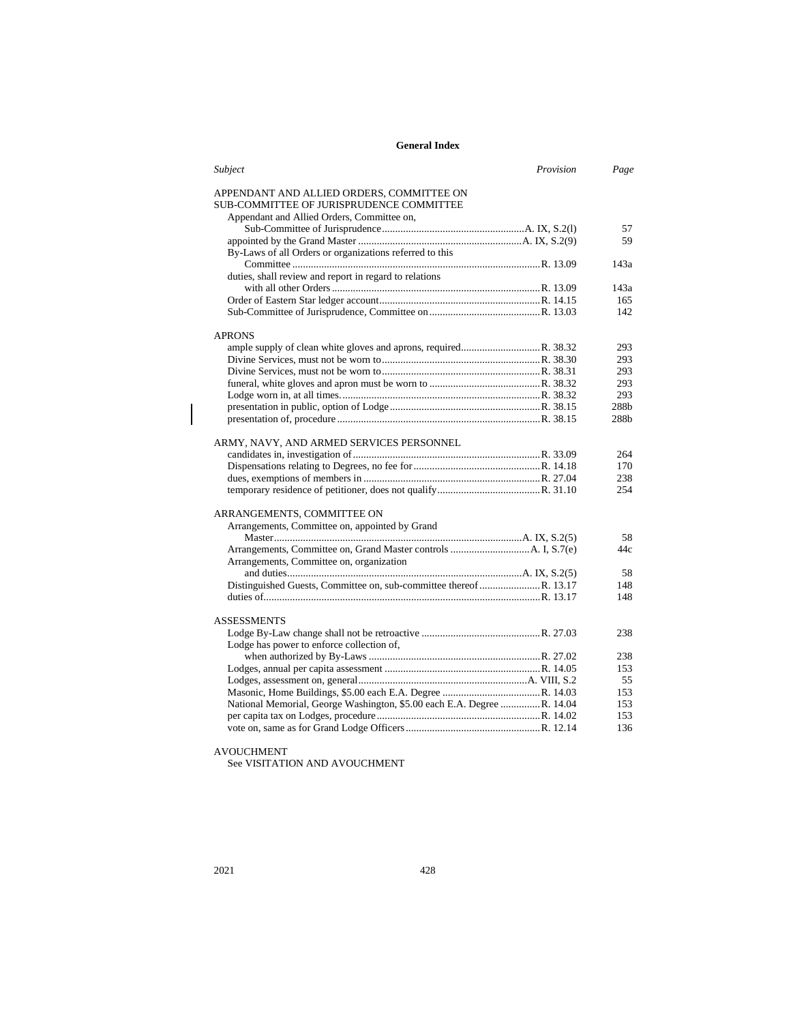| Subject                                                                | Provision | Page             |
|------------------------------------------------------------------------|-----------|------------------|
| APPENDANT AND ALLIED ORDERS, COMMITTEE ON                              |           |                  |
| SUB-COMMITTEE OF JURISPRUDENCE COMMITTEE                               |           |                  |
| Appendant and Allied Orders, Committee on,                             |           |                  |
|                                                                        |           | 57               |
|                                                                        |           | 59               |
| By-Laws of all Orders or organizations referred to this                |           |                  |
|                                                                        |           | 143a             |
| duties, shall review and report in regard to relations                 |           |                  |
|                                                                        |           | 143a             |
|                                                                        |           | 165              |
|                                                                        |           | 142              |
| <b>APRONS</b>                                                          |           |                  |
|                                                                        |           | 293              |
|                                                                        |           | 293              |
|                                                                        |           | 293              |
|                                                                        |           | 293              |
|                                                                        |           | 293              |
|                                                                        |           | 288 <sub>b</sub> |
|                                                                        |           | 288b             |
| ARMY, NAVY, AND ARMED SERVICES PERSONNEL                               |           |                  |
|                                                                        |           | 264              |
|                                                                        |           | 170              |
|                                                                        |           | 238              |
|                                                                        |           | 254              |
| ARRANGEMENTS, COMMITTEE ON                                             |           |                  |
| Arrangements, Committee on, appointed by Grand                         |           |                  |
|                                                                        |           | 58               |
|                                                                        |           | 44c              |
| Arrangements, Committee on, organization                               |           |                  |
|                                                                        |           | 58               |
|                                                                        |           | 148              |
|                                                                        |           | 148              |
| <b>ASSESSMENTS</b>                                                     |           |                  |
|                                                                        |           | 238              |
| Lodge has power to enforce collection of,                              |           |                  |
|                                                                        |           | 238              |
|                                                                        |           | 153              |
|                                                                        |           | 55               |
|                                                                        |           | 153              |
| National Memorial, George Washington, \$5.00 each E.A. Degree R. 14.04 |           | 153              |
|                                                                        |           | 153              |
|                                                                        |           | 136              |
|                                                                        |           |                  |

## AVOUCHMENT

See VISITATION AND AVOUCHMENT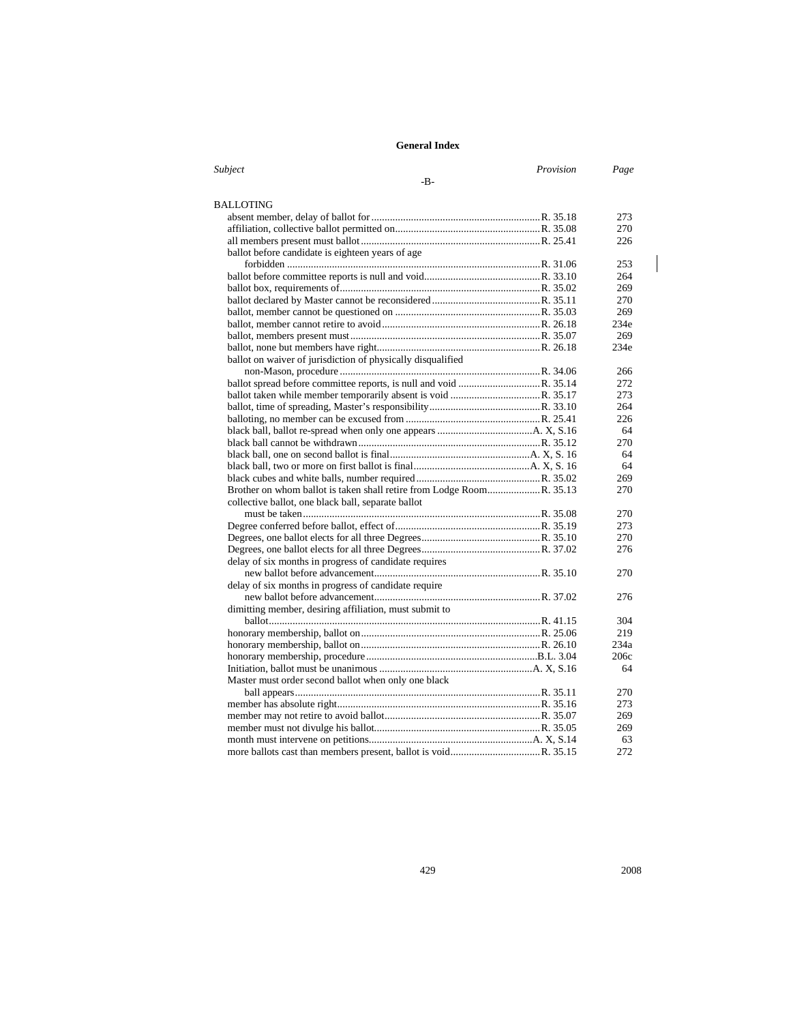| Subject                                                     | Provision | Page              |
|-------------------------------------------------------------|-----------|-------------------|
| -B-                                                         |           |                   |
|                                                             |           |                   |
| <b>BALLOTING</b>                                            |           |                   |
|                                                             |           | 273               |
|                                                             |           | 270               |
|                                                             |           | 226               |
| ballot before candidate is eighteen years of age            |           |                   |
|                                                             |           | 253               |
|                                                             |           | 264               |
|                                                             |           | 269               |
|                                                             |           | 270               |
|                                                             |           | 269               |
|                                                             |           | 234e              |
|                                                             |           | 269               |
|                                                             |           | 234e              |
| ballot on waiver of jurisdiction of physically disqualified |           |                   |
|                                                             |           | 266               |
|                                                             |           | 272               |
|                                                             |           | 273               |
|                                                             |           | 264               |
|                                                             |           | 226               |
|                                                             |           | 64                |
|                                                             |           | 270               |
|                                                             |           | 64                |
|                                                             |           | 64                |
|                                                             |           | 269               |
|                                                             |           | 270               |
| collective ballot, one black ball, separate ballot          |           |                   |
|                                                             |           | 270               |
|                                                             |           | 273               |
|                                                             |           | 270               |
|                                                             |           | 276               |
| delay of six months in progress of candidate requires       |           |                   |
|                                                             |           | 270               |
| delay of six months in progress of candidate require        |           |                   |
|                                                             |           | 276               |
| dimitting member, desiring affiliation, must submit to      |           |                   |
|                                                             |           | 304               |
|                                                             |           | 219               |
|                                                             |           | 234a              |
|                                                             |           | 20 <sub>6</sub> c |
|                                                             |           | 64                |
| Master must order second ballot when only one black         |           |                   |
|                                                             |           | 270               |
|                                                             |           | 273               |
|                                                             |           | 269               |
|                                                             |           | 269               |
|                                                             |           | 63                |
|                                                             |           | 272               |

 $\mathsf I$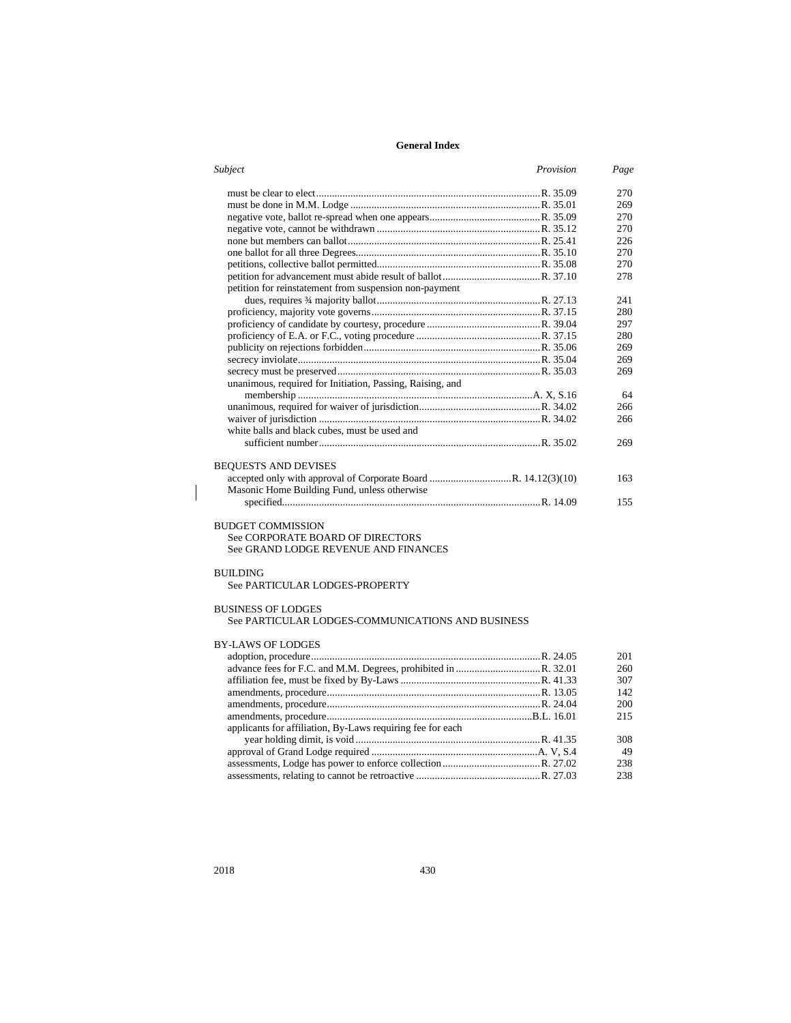| Subject<br>Provision                                           | Page |
|----------------------------------------------------------------|------|
|                                                                | 270  |
|                                                                | 269  |
|                                                                | 270  |
|                                                                | 270  |
|                                                                | 226  |
|                                                                | 270  |
|                                                                | 270  |
|                                                                | 278  |
| petition for reinstatement from suspension non-payment         |      |
|                                                                | 241  |
|                                                                | 280  |
|                                                                | 297  |
|                                                                | 280  |
|                                                                | 269  |
|                                                                | 269  |
|                                                                | 269  |
| unanimous, required for Initiation, Passing, Raising, and      |      |
|                                                                | 64   |
|                                                                | 266  |
|                                                                | 266  |
| white balls and black cubes, must be used and                  |      |
|                                                                | 269  |
|                                                                |      |
| <b>BEQUESTS AND DEVISES</b>                                    |      |
| accepted only with approval of Corporate Board R. 14.12(3)(10) | 163  |
| Masonic Home Building Fund, unless otherwise                   |      |
|                                                                | 155  |
|                                                                |      |

#### BUDGET COMMISSION See CORPORATE BOARD OF DIRECTORS

See GRAND LODGE REVENUE AND FINANCES

#### BUILDING

 $\overline{\phantom{a}}$ 

See PARTICULAR LODGES-PROPERTY

## BUSINESS OF LODGES

See PARTICULAR LODGES-COMMUNICATIONS AND BUSINESS

### BY-LAWS OF LODGES

|                                                            | 201 |
|------------------------------------------------------------|-----|
|                                                            | 260 |
|                                                            | 307 |
|                                                            | 142 |
|                                                            | 200 |
|                                                            | 215 |
| applicants for affiliation, By-Laws requiring fee for each |     |
|                                                            | 308 |
|                                                            | 49  |
|                                                            | 238 |
|                                                            | 238 |
|                                                            |     |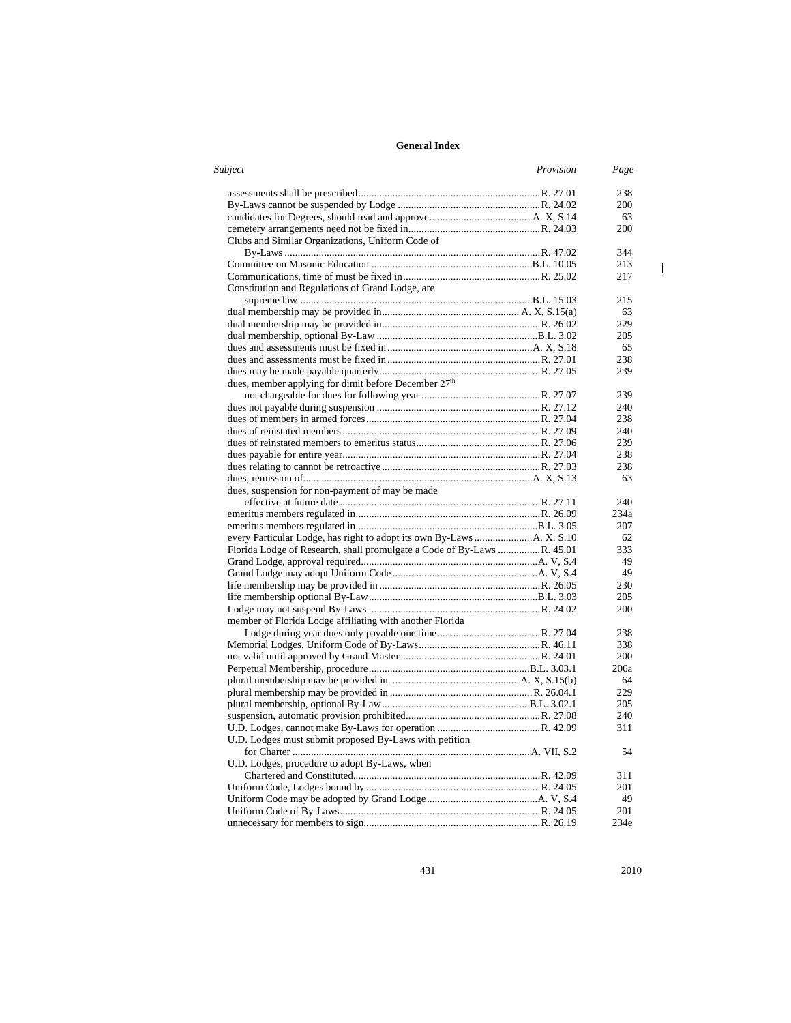| Subject                                                                | Provision | Page       |
|------------------------------------------------------------------------|-----------|------------|
|                                                                        |           | 238        |
|                                                                        |           | 200        |
|                                                                        |           | 63         |
|                                                                        |           | 200        |
| Clubs and Similar Organizations, Uniform Code of                       |           |            |
|                                                                        |           | 344<br>213 |
|                                                                        |           | 217        |
| Constitution and Regulations of Grand Lodge, are                       |           |            |
|                                                                        |           | 215        |
|                                                                        |           | 63         |
|                                                                        |           | 229        |
|                                                                        |           | 205        |
|                                                                        |           | 65         |
|                                                                        |           | 238        |
|                                                                        |           | 239        |
| dues, member applying for dimit before December 27th                   |           |            |
|                                                                        |           | 239        |
|                                                                        |           | 240        |
|                                                                        |           | 238        |
|                                                                        |           | 240        |
|                                                                        |           | 239        |
|                                                                        |           | 238        |
|                                                                        |           | 238        |
|                                                                        |           | 63         |
| dues, suspension for non-payment of may be made                        |           |            |
|                                                                        |           | 240        |
|                                                                        |           | 234a       |
|                                                                        |           | 207        |
|                                                                        |           | 62         |
| Florida Lodge of Research, shall promulgate a Code of By-Laws R. 45.01 |           | 333        |
|                                                                        |           | 49         |
|                                                                        |           | 49         |
|                                                                        |           | 230        |
|                                                                        |           | 205        |
|                                                                        |           | 200        |
| member of Florida Lodge affiliating with another Florida               |           |            |
|                                                                        |           | 238        |
|                                                                        |           | 338        |
|                                                                        |           | 200        |
|                                                                        |           | 206a       |
|                                                                        |           | 64         |
|                                                                        |           | 229        |
|                                                                        |           | 205        |
|                                                                        |           | 240        |
|                                                                        |           | 311        |
| U.D. Lodges must submit proposed By-Laws with petition                 |           |            |
|                                                                        |           | 54         |
| U.D. Lodges, procedure to adopt By-Laws, when                          |           |            |
|                                                                        |           | 311        |
|                                                                        |           | 201        |
|                                                                        |           | 49         |
|                                                                        |           | 201        |
|                                                                        |           | 234e       |

431 2010

 $\mathbf{I}% _{0}\left( \mathbf{I}_{1}\right)$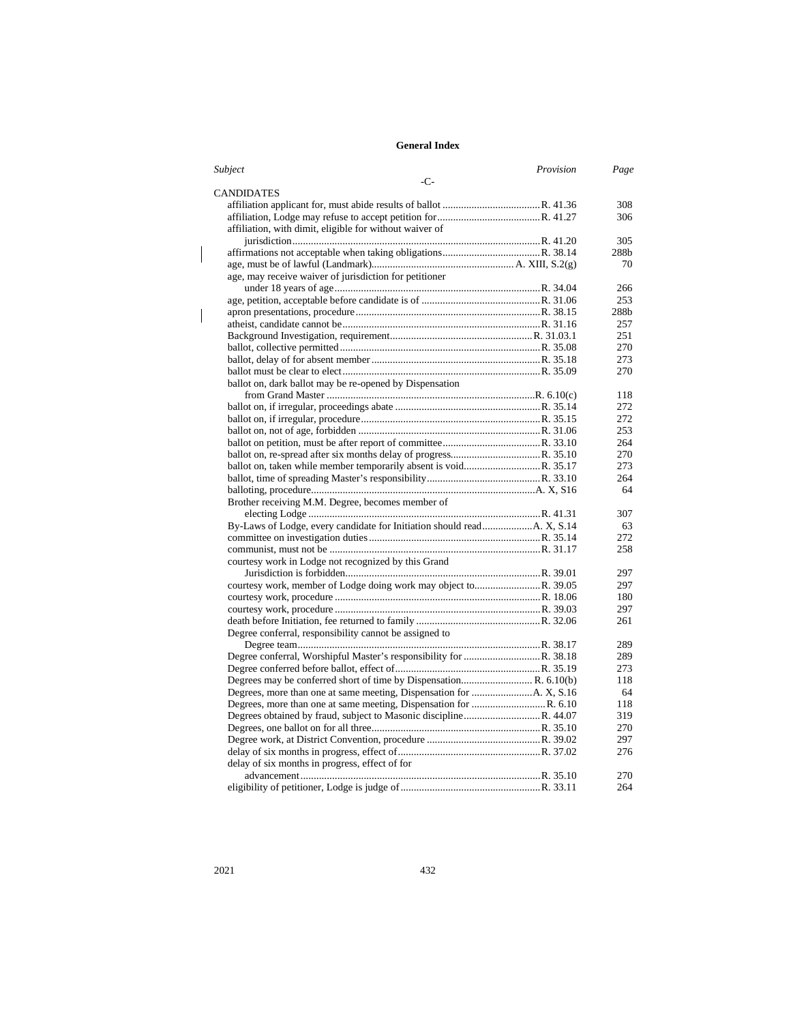| Subject                                                 | Provision | Page             |
|---------------------------------------------------------|-----------|------------------|
| $-C-$                                                   |           |                  |
| CANDIDATES                                              |           |                  |
|                                                         |           | 308              |
|                                                         |           | 306              |
| affiliation, with dimit, eligible for without waiver of |           |                  |
|                                                         |           | 305              |
|                                                         |           | 288 <sub>b</sub> |
|                                                         |           | 70               |
| age, may receive waiver of jurisdiction for petitioner  |           |                  |
|                                                         |           | 266              |
|                                                         |           | 253              |
|                                                         |           | 288b             |
|                                                         |           | 257              |
|                                                         |           | 251              |
|                                                         |           | 270              |
|                                                         |           | 273              |
|                                                         |           | 270              |
| ballot on, dark ballot may be re-opened by Dispensation |           |                  |
|                                                         |           | 118              |
|                                                         |           | 272              |
|                                                         |           | 272              |
|                                                         |           | 253              |
|                                                         |           | 264              |
|                                                         |           | 270              |
|                                                         |           | 273              |
|                                                         |           | 264              |
|                                                         |           | 64               |
| Brother receiving M.M. Degree, becomes member of        |           |                  |
|                                                         |           | 307              |
|                                                         |           | 63               |
|                                                         |           | 272              |
|                                                         |           | 258              |
| courtesy work in Lodge not recognized by this Grand     |           |                  |
|                                                         |           | 297              |
|                                                         |           | 297              |
|                                                         |           | 180              |
|                                                         |           | 297              |
|                                                         |           | 261              |
| Degree conferral, responsibility cannot be assigned to  |           |                  |
|                                                         |           | 289              |
|                                                         |           | 289              |
|                                                         |           | 273              |
|                                                         |           | 118              |
|                                                         |           | 64               |
|                                                         |           | 118              |
|                                                         |           | 319              |
|                                                         |           | 270              |
|                                                         |           | 297              |
|                                                         |           | 276              |
| delay of six months in progress, effect of for          |           |                  |
|                                                         |           | 270              |
|                                                         |           | 264              |

 $\overline{\phantom{a}}$ 

 $\begin{array}{c} \hline \end{array}$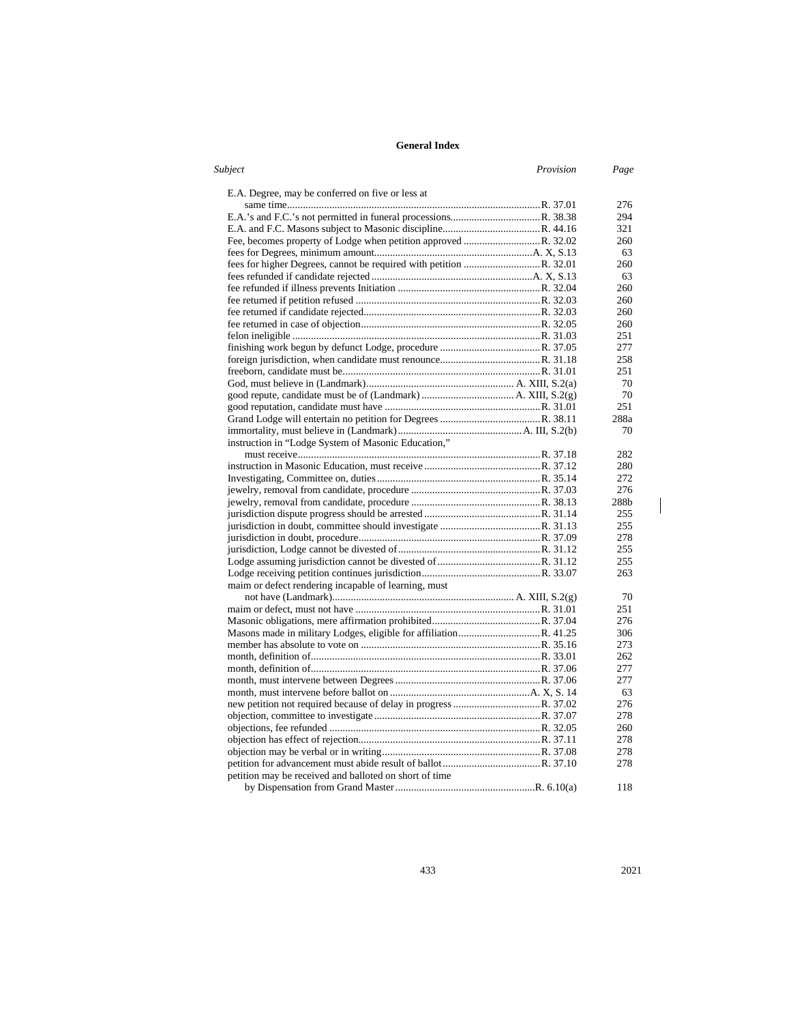| Subject                                                | Provision | Page |
|--------------------------------------------------------|-----------|------|
| E.A. Degree, may be conferred on five or less at       |           |      |
|                                                        |           | 276  |
|                                                        |           | 294  |
|                                                        |           | 321  |
|                                                        |           | 260  |
|                                                        |           | 63   |
|                                                        |           | 260  |
|                                                        |           | 63   |
|                                                        |           | 260  |
|                                                        |           | 260  |
|                                                        |           | 260  |
|                                                        |           | 260  |
|                                                        |           | 251  |
|                                                        |           | 277  |
|                                                        |           | 258  |
|                                                        |           | 251  |
|                                                        |           | 70   |
|                                                        |           | 70   |
|                                                        |           | 251  |
|                                                        |           | 288a |
|                                                        |           | 70   |
| instruction in "Lodge System of Masonic Education,"    |           |      |
|                                                        |           | 282  |
|                                                        |           | 280  |
|                                                        |           | 272  |
|                                                        |           | 276  |
|                                                        |           | 288b |
|                                                        |           | 255  |
|                                                        |           | 255  |
|                                                        |           | 278  |
|                                                        |           | 255  |
|                                                        |           | 255  |
|                                                        |           | 263  |
| maim or defect rendering incapable of learning, must   |           |      |
|                                                        |           | 70   |
|                                                        |           | 251  |
|                                                        |           | 276  |
|                                                        |           | 306  |
|                                                        |           | 273  |
|                                                        |           | 262  |
|                                                        |           | 277  |
|                                                        |           | 277  |
|                                                        |           | 63   |
|                                                        |           | 276  |
|                                                        |           | 278  |
|                                                        |           | 260  |
|                                                        |           | 278  |
|                                                        |           | 278  |
|                                                        |           | 278  |
| petition may be received and balloted on short of time |           |      |
|                                                        |           | 118  |
|                                                        |           |      |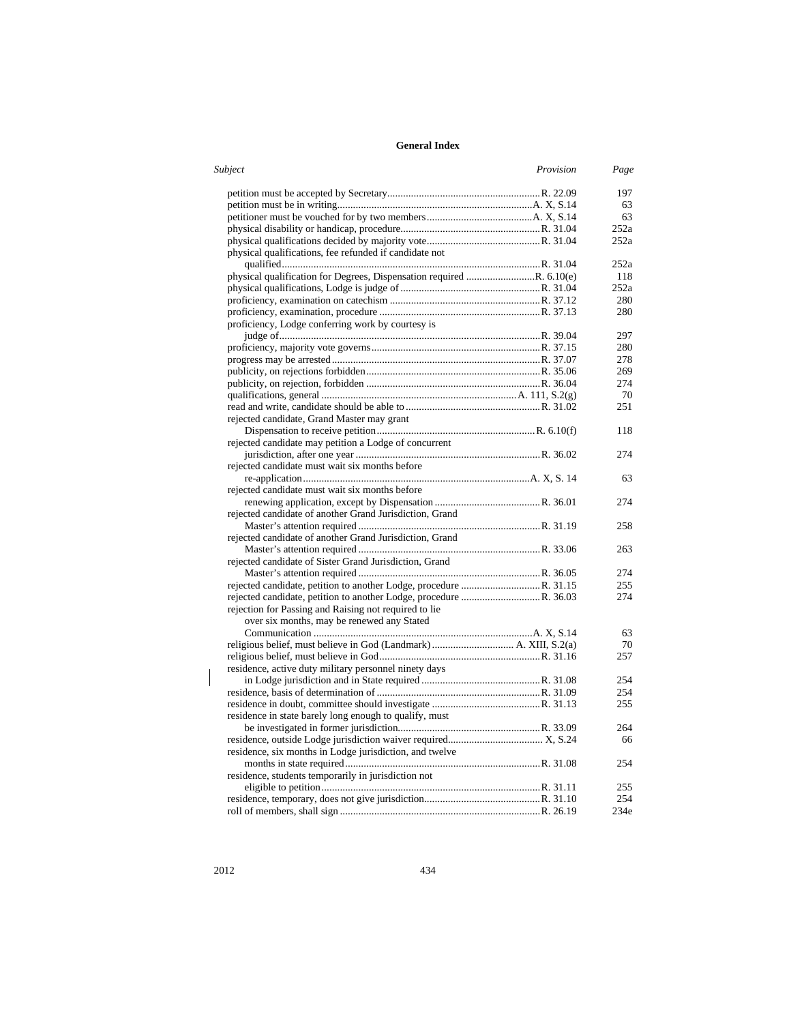| <b>Subject</b>                                                       | Provision | Page |
|----------------------------------------------------------------------|-----------|------|
|                                                                      |           | 197  |
|                                                                      |           | 63   |
|                                                                      |           | 63   |
|                                                                      |           | 252a |
|                                                                      |           | 252a |
| physical qualifications, fee refunded if candidate not               |           |      |
|                                                                      |           | 252a |
| physical qualification for Degrees, Dispensation required R. 6.10(e) |           | 118  |
|                                                                      |           | 252a |
|                                                                      |           | 280  |
|                                                                      |           | 280  |
| proficiency, Lodge conferring work by courtesy is                    |           |      |
|                                                                      |           | 297  |
|                                                                      |           | 280  |
|                                                                      |           | 278  |
|                                                                      |           | 269  |
|                                                                      |           | 274  |
|                                                                      |           | 70   |
|                                                                      |           | 251  |
| rejected candidate, Grand Master may grant                           |           |      |
|                                                                      |           | 118  |
| rejected candidate may petition a Lodge of concurrent                |           |      |
|                                                                      |           | 274  |
| rejected candidate must wait six months before                       |           |      |
|                                                                      |           | 63   |
| rejected candidate must wait six months before                       |           |      |
|                                                                      |           | 274  |
| rejected candidate of another Grand Jurisdiction, Grand              |           |      |
|                                                                      |           | 258  |
| rejected candidate of another Grand Jurisdiction, Grand              |           |      |
|                                                                      |           | 263  |
| rejected candidate of Sister Grand Jurisdiction, Grand               |           |      |
|                                                                      |           | 274  |
|                                                                      |           | 255  |
|                                                                      |           | 274  |
| rejection for Passing and Raising not required to lie                |           |      |
| over six months, may be renewed any Stated                           |           |      |
|                                                                      |           | 63   |
|                                                                      |           | 70   |
|                                                                      |           | 257  |
| residence, active duty military personnel ninety days                |           |      |
|                                                                      |           | 254  |
|                                                                      |           | 254  |
|                                                                      |           | 255  |
| residence in state barely long enough to qualify, must               |           |      |
|                                                                      |           | 264  |
|                                                                      |           | 66   |
| residence, six months in Lodge jurisdiction, and twelve              |           |      |
|                                                                      |           | 254  |
| residence, students temporarily in jurisdiction not                  |           |      |
|                                                                      |           | 255  |
|                                                                      |           | 254  |
|                                                                      |           | 234e |

 $\overline{\phantom{a}}$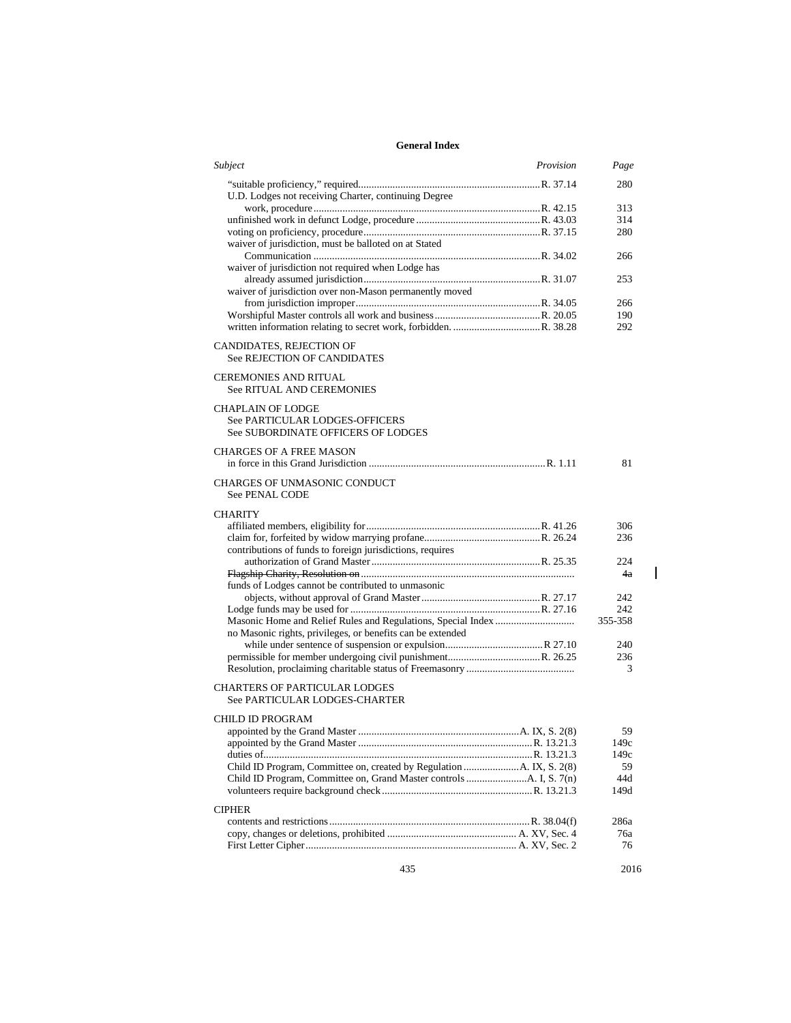| Subject                                                               | Provision | Page         |
|-----------------------------------------------------------------------|-----------|--------------|
|                                                                       |           | 280          |
| U.D. Lodges not receiving Charter, continuing Degree                  |           | 313          |
|                                                                       |           | 314          |
|                                                                       |           | 280          |
| waiver of jurisdiction, must be balloted on at Stated                 |           |              |
|                                                                       |           | 266          |
| waiver of jurisdiction not required when Lodge has                    |           |              |
|                                                                       |           | 253          |
| waiver of jurisdiction over non-Mason permanently moved               |           |              |
|                                                                       |           | 266          |
|                                                                       |           | 190          |
|                                                                       |           | 292          |
| CANDIDATES, REJECTION OF                                              |           |              |
| <b>See REJECTION OF CANDIDATES</b>                                    |           |              |
| <b>CEREMONIES AND RITUAL</b>                                          |           |              |
| <b>See RITUAL AND CEREMONIES</b>                                      |           |              |
|                                                                       |           |              |
| <b>CHAPLAIN OF LODGE</b>                                              |           |              |
| See PARTICULAR LODGES-OFFICERS<br>See SUBORDINATE OFFICERS OF LODGES  |           |              |
|                                                                       |           |              |
| <b>CHARGES OF A FREE MASON</b>                                        |           |              |
|                                                                       |           | 81           |
| CHARGES OF UNMASONIC CONDUCT<br><b>See PENAL CODE</b>                 |           |              |
| <b>CHARITY</b>                                                        |           |              |
|                                                                       |           | 306          |
|                                                                       |           | 236          |
| contributions of funds to foreign jurisdictions, requires             |           |              |
|                                                                       |           | 224          |
|                                                                       |           | 4a           |
| funds of Lodges cannot be contributed to unmasonic                    |           |              |
|                                                                       |           | 242          |
|                                                                       |           | 242          |
|                                                                       |           | 355-358      |
| no Masonic rights, privileges, or benefits can be extended            |           |              |
|                                                                       |           | 240          |
|                                                                       |           | 236          |
|                                                                       |           | 3            |
| <b>CHARTERS OF PARTICULAR LODGES</b><br>See PARTICULAR LODGES-CHARTER |           |              |
| CHILD ID PROGRAM                                                      |           |              |
|                                                                       |           | 59           |
|                                                                       |           |              |
|                                                                       |           | 149c<br>149c |
|                                                                       |           | 59           |
|                                                                       |           | 44d          |
|                                                                       |           | 149d         |
|                                                                       |           |              |
| <b>CIPHER</b>                                                         |           |              |
|                                                                       |           | 286a         |
|                                                                       |           | 76a          |
|                                                                       |           | 76           |
|                                                                       |           |              |

 $\overline{\phantom{a}}$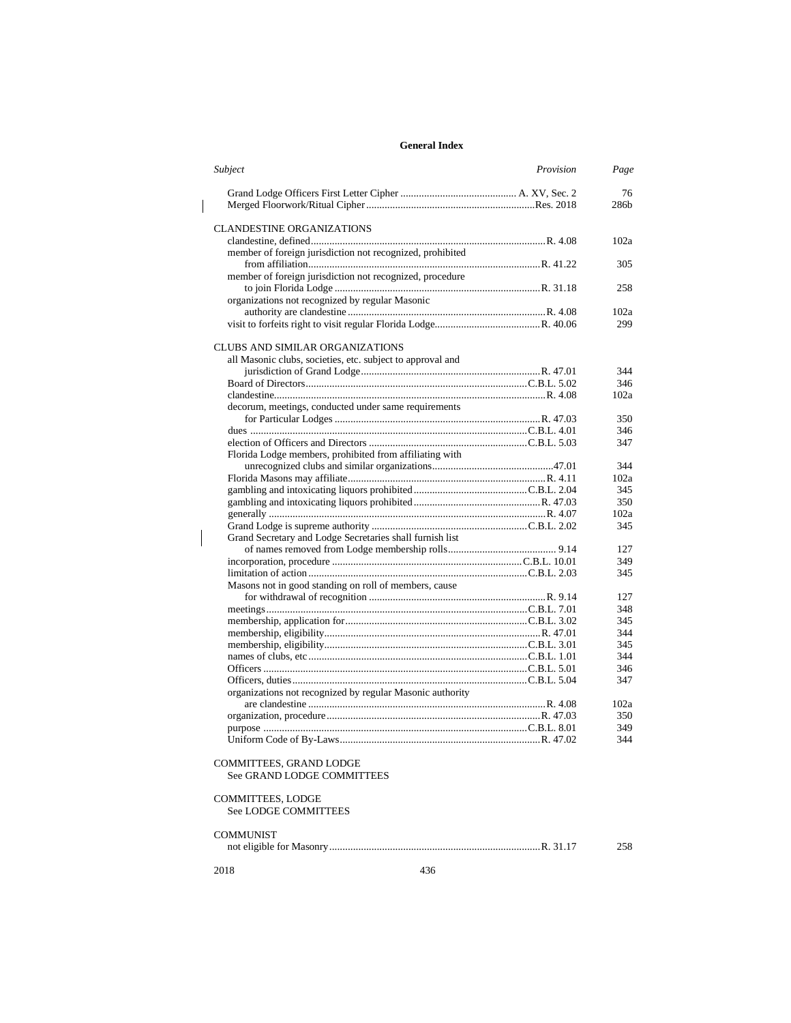|  | Subject<br>Provision                                       | Page |
|--|------------------------------------------------------------|------|
|  |                                                            | 76   |
|  |                                                            | 286b |
|  | <b>CLANDESTINE ORGANIZATIONS</b>                           |      |
|  |                                                            | 102a |
|  |                                                            |      |
|  | member of foreign jurisdiction not recognized, prohibited  | 305  |
|  | member of foreign jurisdiction not recognized, procedure   |      |
|  |                                                            | 258  |
|  |                                                            |      |
|  | organizations not recognized by regular Masonic            | 102a |
|  |                                                            |      |
|  |                                                            | 299  |
|  | <b>CLUBS AND SIMILAR ORGANIZATIONS</b>                     |      |
|  | all Masonic clubs, societies, etc. subject to approval and |      |
|  |                                                            | 344  |
|  |                                                            | 346  |
|  |                                                            | 102a |
|  | decorum, meetings, conducted under same requirements       |      |
|  |                                                            | 350  |
|  |                                                            | 346  |
|  |                                                            | 347  |
|  | Florida Lodge members, prohibited from affiliating with    |      |
|  |                                                            | 344  |
|  |                                                            | 102a |
|  |                                                            | 345  |
|  |                                                            | 350  |
|  |                                                            | 102a |
|  |                                                            | 345  |
|  |                                                            |      |
|  | Grand Secretary and Lodge Secretaries shall furnish list   |      |
|  |                                                            | 127  |
|  |                                                            | 349  |
|  |                                                            | 345  |
|  | Masons not in good standing on roll of members, cause      |      |
|  |                                                            | 127  |
|  |                                                            | 348  |
|  |                                                            | 345  |
|  |                                                            | 344  |
|  |                                                            | 345  |
|  |                                                            | 344  |
|  |                                                            | 346  |
|  |                                                            | 347  |
|  | organizations not recognized by regular Masonic authority  |      |
|  |                                                            | 102a |
|  |                                                            | 350  |
|  |                                                            | 349  |
|  |                                                            | 344  |
|  |                                                            |      |
|  | COMMITTEES, GRAND LODGE<br>See GRAND LODGE COMMITTEES      |      |
|  | <b>COMMITTEES, LODGE</b><br>See LODGE COMMITTEES           |      |
|  | <b>COMMUNIST</b>                                           | 258  |
|  | 436<br>2018                                                |      |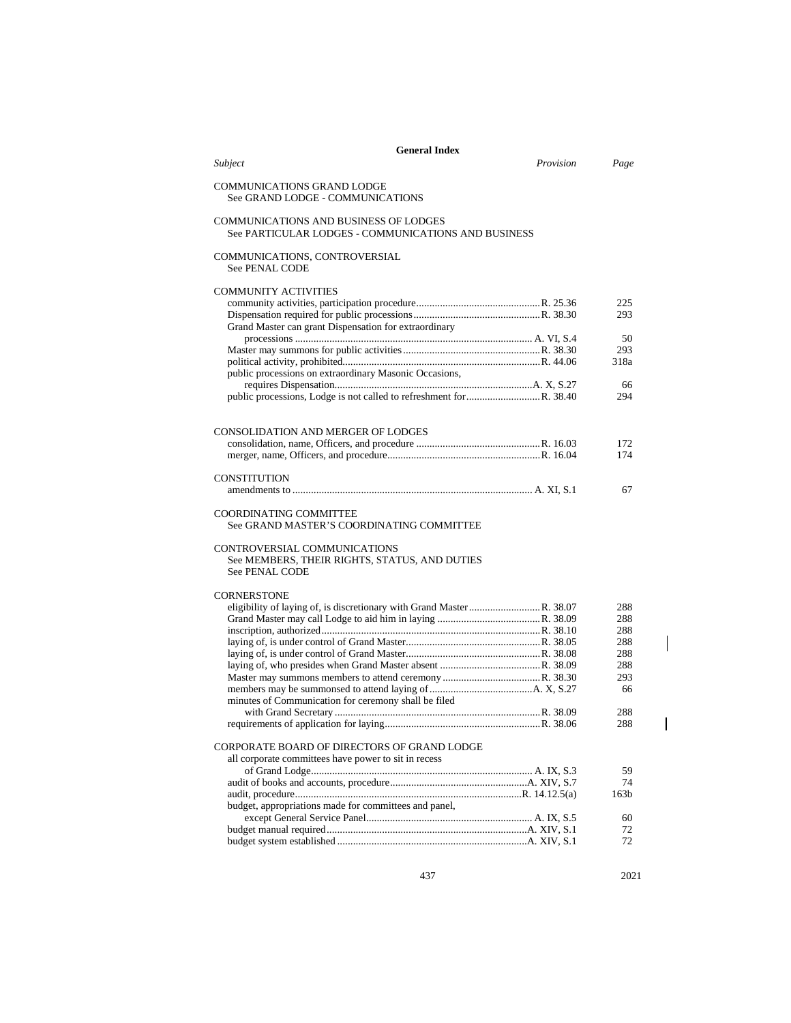| Provision<br>Subject<br>Page<br><b>COMMUNICATIONS GRAND LODGE</b><br>See GRAND LODGE - COMMUNICATIONS<br>COMMUNICATIONS AND BUSINESS OF LODGES<br>See PARTICULAR LODGES - COMMUNICATIONS AND BUSINESS<br>COMMUNICATIONS, CONTROVERSIAL<br><b>See PENAL CODE</b><br><b>COMMUNITY ACTIVITIES</b><br>225<br>293<br>Grand Master can grant Dispensation for extraordinary<br>50<br>293<br>318a<br>public processions on extraordinary Masonic Occasions,<br>66<br>294<br><b>CONSOLIDATION AND MERGER OF LODGES</b><br>172<br>174<br>CONSTITUTION<br>67<br><b>COORDINATING COMMITTEE</b><br>See GRAND MASTER'S COORDINATING COMMITTEE<br>CONTROVERSIAL COMMUNICATIONS<br>See MEMBERS, THEIR RIGHTS, STATUS, AND DUTIES<br><b>See PENAL CODE</b><br><b>CORNERSTONE</b><br>288<br>288<br>288<br>288<br>288<br>288<br>293<br>66<br>minutes of Communication for ceremony shall be filed<br>288<br>288<br>CORPORATE BOARD OF DIRECTORS OF GRAND LODGE<br>all corporate committees have power to sit in recess<br>59<br>74<br>163 <sub>b</sub><br>budget, appropriations made for committees and panel,<br>60<br>72<br>72 | <b>General Index</b> |  |  |  |  |
|-----------------------------------------------------------------------------------------------------------------------------------------------------------------------------------------------------------------------------------------------------------------------------------------------------------------------------------------------------------------------------------------------------------------------------------------------------------------------------------------------------------------------------------------------------------------------------------------------------------------------------------------------------------------------------------------------------------------------------------------------------------------------------------------------------------------------------------------------------------------------------------------------------------------------------------------------------------------------------------------------------------------------------------------------------------------------------------------------------------------|----------------------|--|--|--|--|
|                                                                                                                                                                                                                                                                                                                                                                                                                                                                                                                                                                                                                                                                                                                                                                                                                                                                                                                                                                                                                                                                                                                 |                      |  |  |  |  |
|                                                                                                                                                                                                                                                                                                                                                                                                                                                                                                                                                                                                                                                                                                                                                                                                                                                                                                                                                                                                                                                                                                                 |                      |  |  |  |  |
|                                                                                                                                                                                                                                                                                                                                                                                                                                                                                                                                                                                                                                                                                                                                                                                                                                                                                                                                                                                                                                                                                                                 |                      |  |  |  |  |
|                                                                                                                                                                                                                                                                                                                                                                                                                                                                                                                                                                                                                                                                                                                                                                                                                                                                                                                                                                                                                                                                                                                 |                      |  |  |  |  |
|                                                                                                                                                                                                                                                                                                                                                                                                                                                                                                                                                                                                                                                                                                                                                                                                                                                                                                                                                                                                                                                                                                                 |                      |  |  |  |  |
|                                                                                                                                                                                                                                                                                                                                                                                                                                                                                                                                                                                                                                                                                                                                                                                                                                                                                                                                                                                                                                                                                                                 |                      |  |  |  |  |
|                                                                                                                                                                                                                                                                                                                                                                                                                                                                                                                                                                                                                                                                                                                                                                                                                                                                                                                                                                                                                                                                                                                 |                      |  |  |  |  |
|                                                                                                                                                                                                                                                                                                                                                                                                                                                                                                                                                                                                                                                                                                                                                                                                                                                                                                                                                                                                                                                                                                                 |                      |  |  |  |  |
|                                                                                                                                                                                                                                                                                                                                                                                                                                                                                                                                                                                                                                                                                                                                                                                                                                                                                                                                                                                                                                                                                                                 |                      |  |  |  |  |
|                                                                                                                                                                                                                                                                                                                                                                                                                                                                                                                                                                                                                                                                                                                                                                                                                                                                                                                                                                                                                                                                                                                 |                      |  |  |  |  |
|                                                                                                                                                                                                                                                                                                                                                                                                                                                                                                                                                                                                                                                                                                                                                                                                                                                                                                                                                                                                                                                                                                                 |                      |  |  |  |  |
|                                                                                                                                                                                                                                                                                                                                                                                                                                                                                                                                                                                                                                                                                                                                                                                                                                                                                                                                                                                                                                                                                                                 |                      |  |  |  |  |
|                                                                                                                                                                                                                                                                                                                                                                                                                                                                                                                                                                                                                                                                                                                                                                                                                                                                                                                                                                                                                                                                                                                 |                      |  |  |  |  |
|                                                                                                                                                                                                                                                                                                                                                                                                                                                                                                                                                                                                                                                                                                                                                                                                                                                                                                                                                                                                                                                                                                                 |                      |  |  |  |  |
|                                                                                                                                                                                                                                                                                                                                                                                                                                                                                                                                                                                                                                                                                                                                                                                                                                                                                                                                                                                                                                                                                                                 |                      |  |  |  |  |
|                                                                                                                                                                                                                                                                                                                                                                                                                                                                                                                                                                                                                                                                                                                                                                                                                                                                                                                                                                                                                                                                                                                 |                      |  |  |  |  |
|                                                                                                                                                                                                                                                                                                                                                                                                                                                                                                                                                                                                                                                                                                                                                                                                                                                                                                                                                                                                                                                                                                                 |                      |  |  |  |  |
|                                                                                                                                                                                                                                                                                                                                                                                                                                                                                                                                                                                                                                                                                                                                                                                                                                                                                                                                                                                                                                                                                                                 |                      |  |  |  |  |
|                                                                                                                                                                                                                                                                                                                                                                                                                                                                                                                                                                                                                                                                                                                                                                                                                                                                                                                                                                                                                                                                                                                 |                      |  |  |  |  |
|                                                                                                                                                                                                                                                                                                                                                                                                                                                                                                                                                                                                                                                                                                                                                                                                                                                                                                                                                                                                                                                                                                                 |                      |  |  |  |  |
|                                                                                                                                                                                                                                                                                                                                                                                                                                                                                                                                                                                                                                                                                                                                                                                                                                                                                                                                                                                                                                                                                                                 |                      |  |  |  |  |
|                                                                                                                                                                                                                                                                                                                                                                                                                                                                                                                                                                                                                                                                                                                                                                                                                                                                                                                                                                                                                                                                                                                 |                      |  |  |  |  |
|                                                                                                                                                                                                                                                                                                                                                                                                                                                                                                                                                                                                                                                                                                                                                                                                                                                                                                                                                                                                                                                                                                                 |                      |  |  |  |  |
|                                                                                                                                                                                                                                                                                                                                                                                                                                                                                                                                                                                                                                                                                                                                                                                                                                                                                                                                                                                                                                                                                                                 |                      |  |  |  |  |
|                                                                                                                                                                                                                                                                                                                                                                                                                                                                                                                                                                                                                                                                                                                                                                                                                                                                                                                                                                                                                                                                                                                 |                      |  |  |  |  |
|                                                                                                                                                                                                                                                                                                                                                                                                                                                                                                                                                                                                                                                                                                                                                                                                                                                                                                                                                                                                                                                                                                                 |                      |  |  |  |  |
|                                                                                                                                                                                                                                                                                                                                                                                                                                                                                                                                                                                                                                                                                                                                                                                                                                                                                                                                                                                                                                                                                                                 |                      |  |  |  |  |
|                                                                                                                                                                                                                                                                                                                                                                                                                                                                                                                                                                                                                                                                                                                                                                                                                                                                                                                                                                                                                                                                                                                 |                      |  |  |  |  |
|                                                                                                                                                                                                                                                                                                                                                                                                                                                                                                                                                                                                                                                                                                                                                                                                                                                                                                                                                                                                                                                                                                                 |                      |  |  |  |  |
|                                                                                                                                                                                                                                                                                                                                                                                                                                                                                                                                                                                                                                                                                                                                                                                                                                                                                                                                                                                                                                                                                                                 |                      |  |  |  |  |
|                                                                                                                                                                                                                                                                                                                                                                                                                                                                                                                                                                                                                                                                                                                                                                                                                                                                                                                                                                                                                                                                                                                 |                      |  |  |  |  |
|                                                                                                                                                                                                                                                                                                                                                                                                                                                                                                                                                                                                                                                                                                                                                                                                                                                                                                                                                                                                                                                                                                                 |                      |  |  |  |  |
|                                                                                                                                                                                                                                                                                                                                                                                                                                                                                                                                                                                                                                                                                                                                                                                                                                                                                                                                                                                                                                                                                                                 |                      |  |  |  |  |
|                                                                                                                                                                                                                                                                                                                                                                                                                                                                                                                                                                                                                                                                                                                                                                                                                                                                                                                                                                                                                                                                                                                 |                      |  |  |  |  |
|                                                                                                                                                                                                                                                                                                                                                                                                                                                                                                                                                                                                                                                                                                                                                                                                                                                                                                                                                                                                                                                                                                                 |                      |  |  |  |  |
|                                                                                                                                                                                                                                                                                                                                                                                                                                                                                                                                                                                                                                                                                                                                                                                                                                                                                                                                                                                                                                                                                                                 |                      |  |  |  |  |
|                                                                                                                                                                                                                                                                                                                                                                                                                                                                                                                                                                                                                                                                                                                                                                                                                                                                                                                                                                                                                                                                                                                 |                      |  |  |  |  |
|                                                                                                                                                                                                                                                                                                                                                                                                                                                                                                                                                                                                                                                                                                                                                                                                                                                                                                                                                                                                                                                                                                                 |                      |  |  |  |  |
|                                                                                                                                                                                                                                                                                                                                                                                                                                                                                                                                                                                                                                                                                                                                                                                                                                                                                                                                                                                                                                                                                                                 |                      |  |  |  |  |
|                                                                                                                                                                                                                                                                                                                                                                                                                                                                                                                                                                                                                                                                                                                                                                                                                                                                                                                                                                                                                                                                                                                 |                      |  |  |  |  |
|                                                                                                                                                                                                                                                                                                                                                                                                                                                                                                                                                                                                                                                                                                                                                                                                                                                                                                                                                                                                                                                                                                                 |                      |  |  |  |  |
|                                                                                                                                                                                                                                                                                                                                                                                                                                                                                                                                                                                                                                                                                                                                                                                                                                                                                                                                                                                                                                                                                                                 |                      |  |  |  |  |
|                                                                                                                                                                                                                                                                                                                                                                                                                                                                                                                                                                                                                                                                                                                                                                                                                                                                                                                                                                                                                                                                                                                 |                      |  |  |  |  |
|                                                                                                                                                                                                                                                                                                                                                                                                                                                                                                                                                                                                                                                                                                                                                                                                                                                                                                                                                                                                                                                                                                                 |                      |  |  |  |  |

437 2021

 $\overline{\phantom{a}}$ 

 $\overline{1}$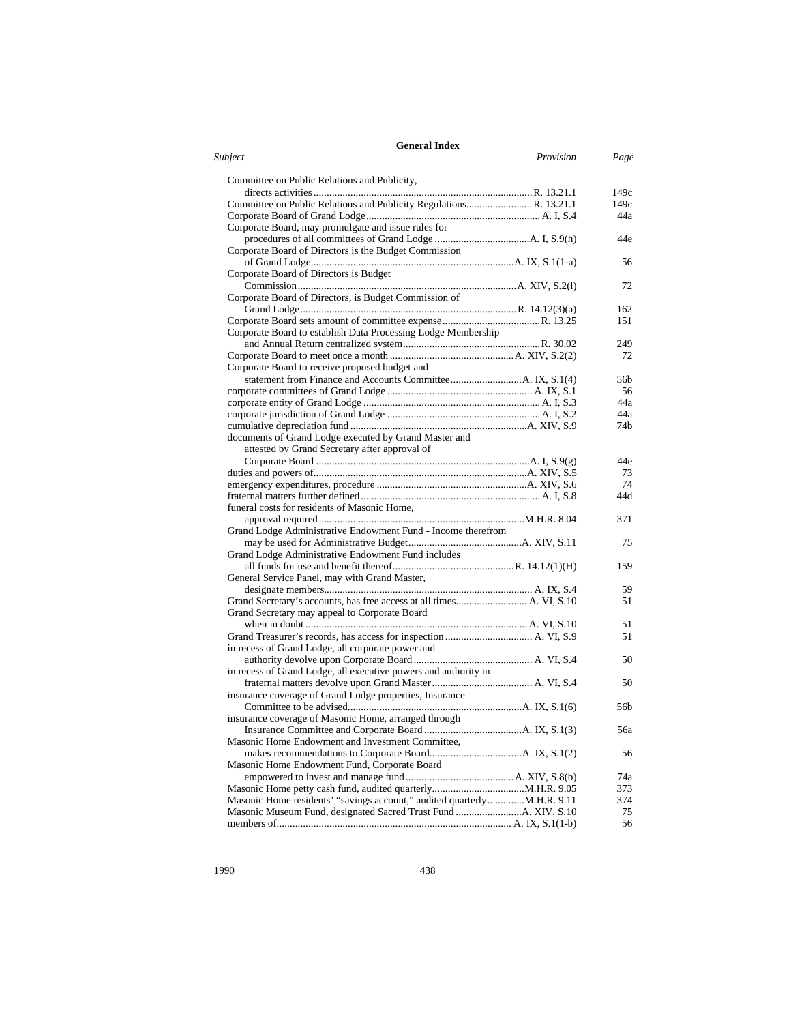| Subject<br>Provision<br>Committee on Public Relations and Publicity,<br>Corporate Board, may promulgate and issue rules for<br>Corporate Board of Directors is the Budget Commission<br>Corporate Board of Directors is Budget<br>Corporate Board of Directors, is Budget Commission of<br>Corporate Board to establish Data Processing Lodge Membership<br>Corporate Board to receive proposed budget and<br>documents of Grand Lodge executed by Grand Master and | Page     |
|---------------------------------------------------------------------------------------------------------------------------------------------------------------------------------------------------------------------------------------------------------------------------------------------------------------------------------------------------------------------------------------------------------------------------------------------------------------------|----------|
|                                                                                                                                                                                                                                                                                                                                                                                                                                                                     |          |
|                                                                                                                                                                                                                                                                                                                                                                                                                                                                     |          |
|                                                                                                                                                                                                                                                                                                                                                                                                                                                                     | 149c     |
|                                                                                                                                                                                                                                                                                                                                                                                                                                                                     | 149c     |
|                                                                                                                                                                                                                                                                                                                                                                                                                                                                     | 44a      |
|                                                                                                                                                                                                                                                                                                                                                                                                                                                                     |          |
|                                                                                                                                                                                                                                                                                                                                                                                                                                                                     | 44e      |
|                                                                                                                                                                                                                                                                                                                                                                                                                                                                     |          |
|                                                                                                                                                                                                                                                                                                                                                                                                                                                                     | 56       |
|                                                                                                                                                                                                                                                                                                                                                                                                                                                                     |          |
|                                                                                                                                                                                                                                                                                                                                                                                                                                                                     | 72       |
|                                                                                                                                                                                                                                                                                                                                                                                                                                                                     |          |
|                                                                                                                                                                                                                                                                                                                                                                                                                                                                     | 162      |
|                                                                                                                                                                                                                                                                                                                                                                                                                                                                     | 151      |
|                                                                                                                                                                                                                                                                                                                                                                                                                                                                     |          |
|                                                                                                                                                                                                                                                                                                                                                                                                                                                                     | 249      |
|                                                                                                                                                                                                                                                                                                                                                                                                                                                                     | 72       |
|                                                                                                                                                                                                                                                                                                                                                                                                                                                                     |          |
|                                                                                                                                                                                                                                                                                                                                                                                                                                                                     | 56b      |
|                                                                                                                                                                                                                                                                                                                                                                                                                                                                     | 56       |
|                                                                                                                                                                                                                                                                                                                                                                                                                                                                     | 44a      |
|                                                                                                                                                                                                                                                                                                                                                                                                                                                                     | 44a      |
|                                                                                                                                                                                                                                                                                                                                                                                                                                                                     | 74b      |
|                                                                                                                                                                                                                                                                                                                                                                                                                                                                     |          |
| attested by Grand Secretary after approval of                                                                                                                                                                                                                                                                                                                                                                                                                       |          |
|                                                                                                                                                                                                                                                                                                                                                                                                                                                                     | 44e      |
|                                                                                                                                                                                                                                                                                                                                                                                                                                                                     |          |
|                                                                                                                                                                                                                                                                                                                                                                                                                                                                     | 73<br>74 |
|                                                                                                                                                                                                                                                                                                                                                                                                                                                                     |          |
|                                                                                                                                                                                                                                                                                                                                                                                                                                                                     | 44d      |
| funeral costs for residents of Masonic Home,                                                                                                                                                                                                                                                                                                                                                                                                                        |          |
|                                                                                                                                                                                                                                                                                                                                                                                                                                                                     | 371      |
| Grand Lodge Administrative Endowment Fund - Income therefrom                                                                                                                                                                                                                                                                                                                                                                                                        |          |
|                                                                                                                                                                                                                                                                                                                                                                                                                                                                     | 75       |
| Grand Lodge Administrative Endowment Fund includes                                                                                                                                                                                                                                                                                                                                                                                                                  |          |
|                                                                                                                                                                                                                                                                                                                                                                                                                                                                     | 159      |
| General Service Panel, may with Grand Master,                                                                                                                                                                                                                                                                                                                                                                                                                       |          |
|                                                                                                                                                                                                                                                                                                                                                                                                                                                                     | 59       |
| Grand Secretary's accounts, has free access at all times A. VI, S.10                                                                                                                                                                                                                                                                                                                                                                                                | 51       |
| Grand Secretary may appeal to Corporate Board                                                                                                                                                                                                                                                                                                                                                                                                                       |          |
|                                                                                                                                                                                                                                                                                                                                                                                                                                                                     | 51       |
|                                                                                                                                                                                                                                                                                                                                                                                                                                                                     | 51       |
| in recess of Grand Lodge, all corporate power and                                                                                                                                                                                                                                                                                                                                                                                                                   |          |
|                                                                                                                                                                                                                                                                                                                                                                                                                                                                     | 50       |
| in recess of Grand Lodge, all executive powers and authority in                                                                                                                                                                                                                                                                                                                                                                                                     |          |
|                                                                                                                                                                                                                                                                                                                                                                                                                                                                     | 50       |
| insurance coverage of Grand Lodge properties, Insurance                                                                                                                                                                                                                                                                                                                                                                                                             |          |
|                                                                                                                                                                                                                                                                                                                                                                                                                                                                     | 56b      |
| insurance coverage of Masonic Home, arranged through                                                                                                                                                                                                                                                                                                                                                                                                                |          |
|                                                                                                                                                                                                                                                                                                                                                                                                                                                                     | 56a      |
| Masonic Home Endowment and Investment Committee,                                                                                                                                                                                                                                                                                                                                                                                                                    |          |
|                                                                                                                                                                                                                                                                                                                                                                                                                                                                     | 56       |
| Masonic Home Endowment Fund, Corporate Board                                                                                                                                                                                                                                                                                                                                                                                                                        |          |
|                                                                                                                                                                                                                                                                                                                                                                                                                                                                     | 74a      |
|                                                                                                                                                                                                                                                                                                                                                                                                                                                                     | 373      |
| Masonic Home residents' "savings account," audited quarterlyM.H.R. 9.11                                                                                                                                                                                                                                                                                                                                                                                             | 374      |
|                                                                                                                                                                                                                                                                                                                                                                                                                                                                     | 75       |
|                                                                                                                                                                                                                                                                                                                                                                                                                                                                     | 56       |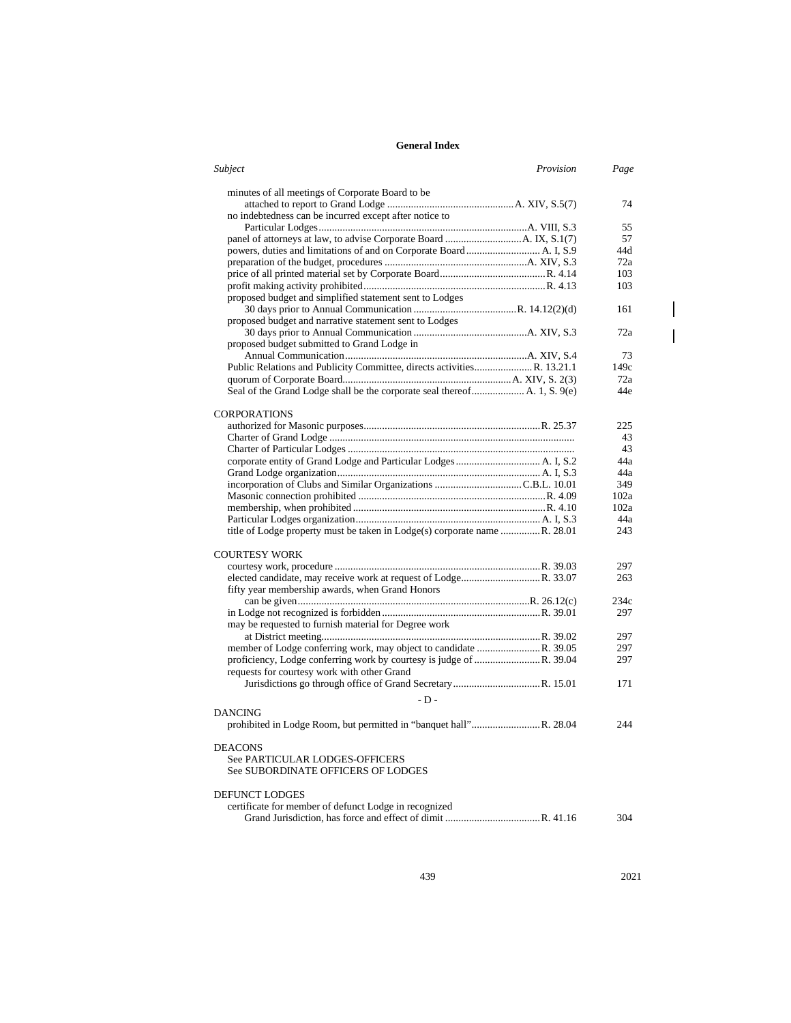| Subject<br>Provision                                                      | Page |
|---------------------------------------------------------------------------|------|
| minutes of all meetings of Corporate Board to be                          |      |
|                                                                           | 74   |
| no indebtedness can be incurred except after notice to                    |      |
|                                                                           | 55   |
|                                                                           | 57   |
|                                                                           | 44d  |
|                                                                           | 72a  |
|                                                                           | 103  |
|                                                                           | 103  |
| proposed budget and simplified statement sent to Lodges                   |      |
|                                                                           | 161  |
| proposed budget and narrative statement sent to Lodges                    |      |
|                                                                           | 72a  |
| proposed budget submitted to Grand Lodge in                               |      |
|                                                                           | 73   |
| Public Relations and Publicity Committee, directs activities R. 13.21.1   | 149c |
|                                                                           | 72a  |
| Seal of the Grand Lodge shall be the corporate seal thereof A. 1, S. 9(e) | 44e  |
| <b>CORPORATIONS</b>                                                       |      |
|                                                                           | 225  |
|                                                                           | 43   |
|                                                                           | 43   |
|                                                                           | 44a  |
|                                                                           | 44a  |
|                                                                           | 349  |
|                                                                           | 102a |
|                                                                           | 102a |
|                                                                           | 44a  |
| title of Lodge property must be taken in Lodge(s) corporate name R. 28.01 | 243  |
|                                                                           |      |
| <b>COURTESY WORK</b>                                                      |      |
|                                                                           | 297  |
|                                                                           | 263  |
| fifty year membership awards, when Grand Honors                           |      |
|                                                                           | 234c |
|                                                                           | 297  |
| may be requested to furnish material for Degree work                      |      |
|                                                                           | 297  |
|                                                                           | 297  |
|                                                                           | 297  |
| requests for courtesy work with other Grand                               |      |
|                                                                           | 171  |
| $-D -$                                                                    |      |
| <b>DANCING</b>                                                            |      |
|                                                                           | 244  |
|                                                                           |      |
| <b>DEACONS</b>                                                            |      |
| See PARTICULAR LODGES-OFFICERS                                            |      |
| See SUBORDINATE OFFICERS OF LODGES                                        |      |
|                                                                           |      |
| <b>DEFUNCT LODGES</b>                                                     |      |
| certificate for member of defunct Lodge in recognized                     |      |
|                                                                           | 304  |

439 2021

 $\overline{\phantom{a}}$  $\overline{\phantom{a}}$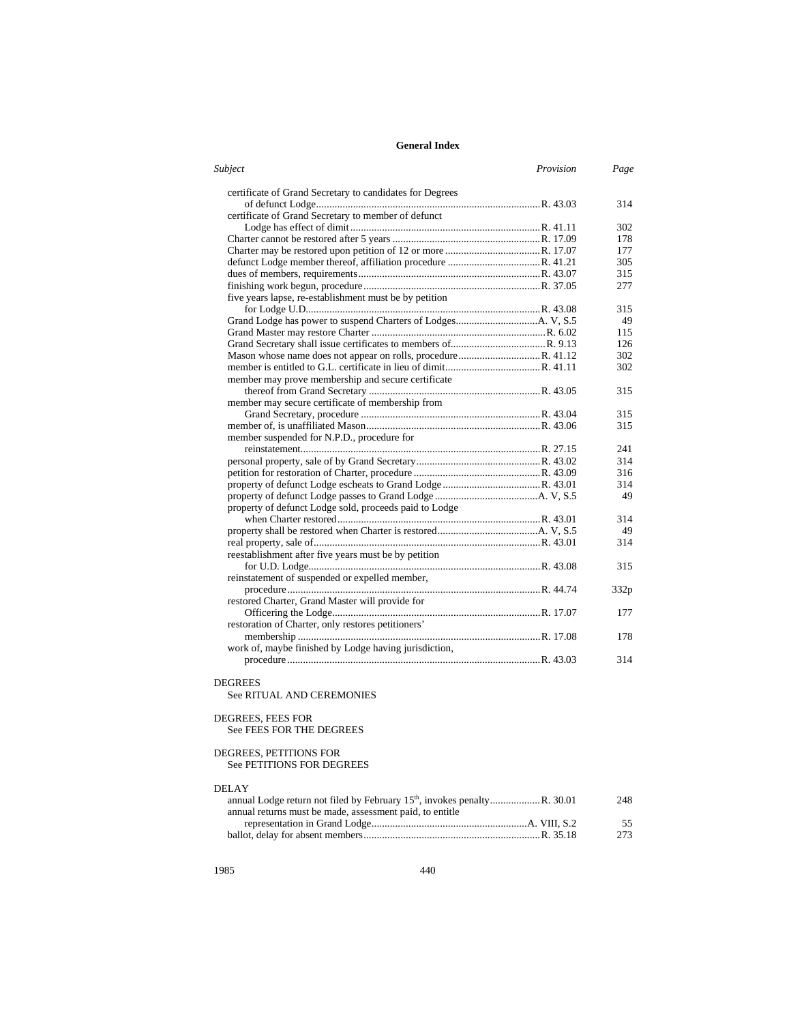| <b>Subject</b>                                           | Provision | Page |
|----------------------------------------------------------|-----------|------|
| certificate of Grand Secretary to candidates for Degrees |           |      |
|                                                          |           | 314  |
| certificate of Grand Secretary to member of defunct      |           |      |
|                                                          |           | 302  |
|                                                          |           | 178  |
|                                                          |           | 177  |
|                                                          |           | 305  |
|                                                          |           | 315  |
|                                                          |           | 277  |
| five years lapse, re-establishment must be by petition   |           |      |
|                                                          |           | 315  |
|                                                          |           | 49   |
|                                                          |           | 115  |
|                                                          |           | 126  |
|                                                          |           | 302  |
|                                                          |           | 302  |
| member may prove membership and secure certificate       |           |      |
|                                                          |           | 315  |
| member may secure certificate of membership from         |           |      |
|                                                          |           | 315  |
|                                                          |           | 315  |
| member suspended for N.P.D., procedure for               |           |      |
|                                                          |           | 241  |
|                                                          |           | 314  |
|                                                          |           | 316  |
|                                                          |           | 314  |
|                                                          |           | 49   |
| property of defunct Lodge sold, proceeds paid to Lodge   |           |      |
|                                                          |           | 314  |
|                                                          |           | 49   |
|                                                          |           | 314  |
| reestablishment after five years must be by petition     |           |      |
|                                                          |           | 315  |
| reinstatement of suspended or expelled member,           |           |      |
|                                                          |           | 332p |
| restored Charter, Grand Master will provide for          |           |      |
|                                                          |           | 177  |
| restoration of Charter, only restores petitioners'       |           |      |
|                                                          |           | 178  |
| work of, maybe finished by Lodge having jurisdiction,    |           |      |
|                                                          |           | 314  |
|                                                          |           |      |

## DEGREES

See RITUAL AND CEREMONIES

# DEGREES, FEES FOR

See FEES FOR THE DEGREES

#### DEGREES, PETITIONS FOR

See PETITIONS FOR DEGREES

### DELAY

|                                                          | 248 |
|----------------------------------------------------------|-----|
| annual returns must be made, assessment paid, to entitle |     |
|                                                          | 55  |
|                                                          | 273 |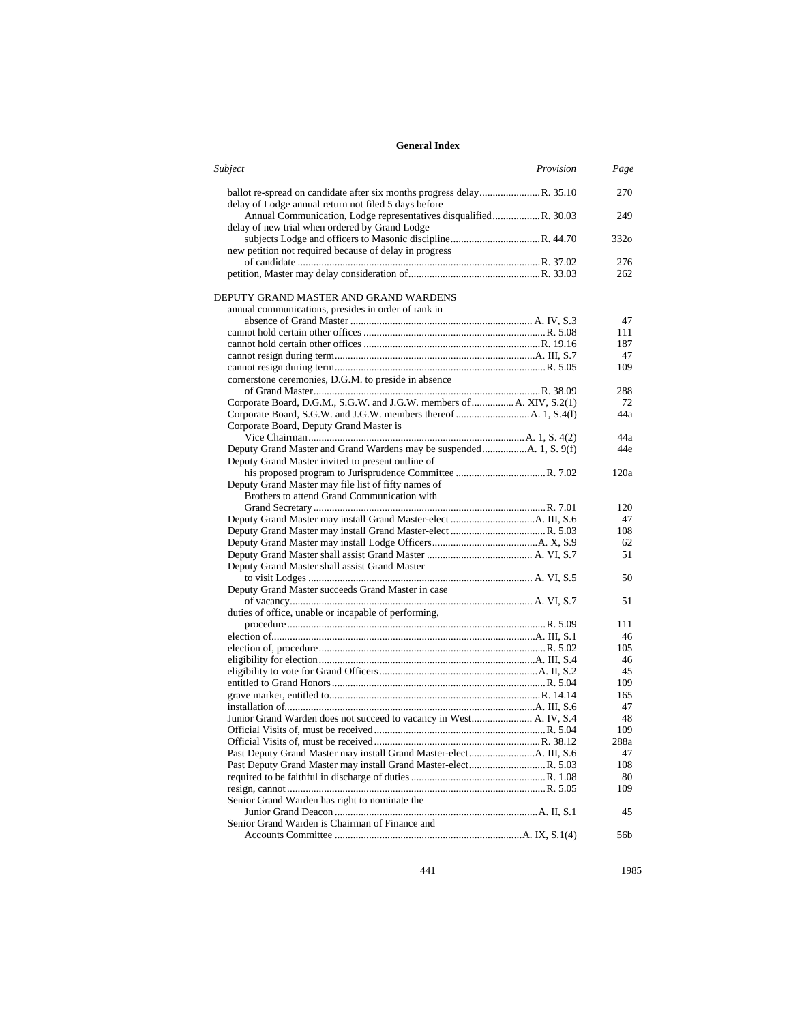| Subject<br>Provision                                                                                               | Page             |
|--------------------------------------------------------------------------------------------------------------------|------------------|
| delay of Lodge annual return not filed 5 days before                                                               | 270              |
| Annual Communication, Lodge representatives disqualifiedR. 30.03<br>delay of new trial when ordered by Grand Lodge | 249              |
|                                                                                                                    | 332 <sub>o</sub> |
| new petition not required because of delay in progress                                                             | 276              |
|                                                                                                                    |                  |
|                                                                                                                    | 262              |
| DEPUTY GRAND MASTER AND GRAND WARDENS                                                                              |                  |
| annual communications, presides in order of rank in                                                                |                  |
|                                                                                                                    | 47               |
|                                                                                                                    | 111              |
|                                                                                                                    | 187              |
|                                                                                                                    | 47               |
|                                                                                                                    | 109              |
| cornerstone ceremonies, D.G.M. to preside in absence                                                               |                  |
|                                                                                                                    | 288              |
| Corporate Board, D.G.M., S.G.W. and J.G.W. members of  A. XIV, S.2(1)                                              | 72               |
|                                                                                                                    | 44a              |
| Corporate Board, Deputy Grand Master is                                                                            |                  |
|                                                                                                                    | 44a              |
|                                                                                                                    | 44e              |
| Deputy Grand Master invited to present outline of                                                                  |                  |
|                                                                                                                    | 120a             |
| Deputy Grand Master may file list of fifty names of                                                                |                  |
| Brothers to attend Grand Communication with                                                                        |                  |
|                                                                                                                    | 120              |
|                                                                                                                    | 47               |
|                                                                                                                    | 108              |
|                                                                                                                    | 62               |
|                                                                                                                    | 51               |
| Deputy Grand Master shall assist Grand Master                                                                      |                  |
|                                                                                                                    | 50               |
| Deputy Grand Master succeeds Grand Master in case                                                                  |                  |
|                                                                                                                    | 51               |
| duties of office, unable or incapable of performing,                                                               |                  |
|                                                                                                                    | 111              |
|                                                                                                                    | 46               |
|                                                                                                                    | 105              |
|                                                                                                                    | 46               |
|                                                                                                                    | 45               |
|                                                                                                                    | 109              |
|                                                                                                                    | 165              |
|                                                                                                                    | 47               |
| Junior Grand Warden does not succeed to vacancy in West A. IV, S.4                                                 | 48               |
|                                                                                                                    | 109              |
|                                                                                                                    | $288\mathrm{a}$  |
|                                                                                                                    | 47               |
| Past Deputy Grand Master may install Grand Master-electR. 5.03                                                     | 108              |
|                                                                                                                    | 80               |
|                                                                                                                    | 109              |
| Senior Grand Warden has right to nominate the                                                                      |                  |
|                                                                                                                    | 45               |
| Senior Grand Warden is Chairman of Finance and                                                                     |                  |
|                                                                                                                    | 56b              |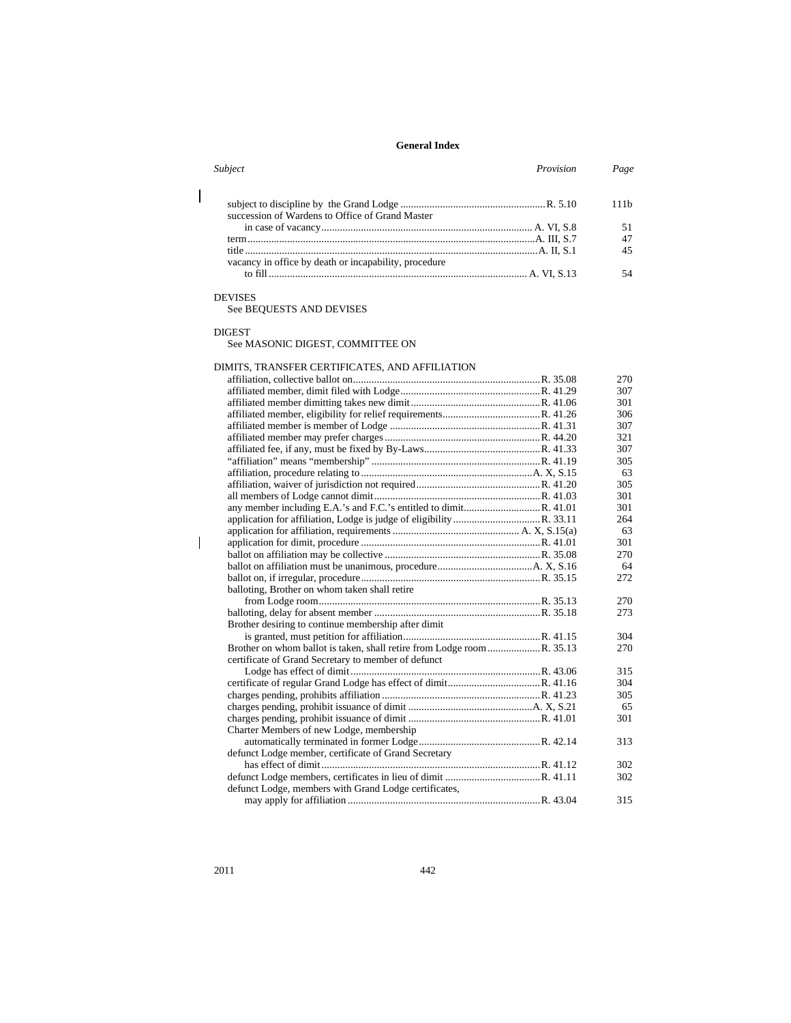| Subject                                               | Provision | Page |
|-------------------------------------------------------|-----------|------|
| succession of Wardens to Office of Grand Master       |           | 111h |
|                                                       |           |      |
|                                                       |           | 47   |
|                                                       |           | 45   |
| vacancy in office by death or incapability, procedure |           |      |
|                                                       |           | 54   |
|                                                       |           |      |

#### DEVISES

 $\overline{\phantom{a}}$ 

 $\overline{\phantom{a}}$ 

See BEQUESTS AND DEVISES

DIGEST

### See MASONIC DIGEST, COMMITTEE ON

## DIMITS, TRANSFER CERTIFICATES, AND AFFILIATION

|                                                       | 270 |
|-------------------------------------------------------|-----|
|                                                       | 307 |
|                                                       | 301 |
|                                                       | 306 |
|                                                       | 307 |
|                                                       | 321 |
|                                                       | 307 |
|                                                       | 305 |
|                                                       | 63  |
|                                                       | 305 |
|                                                       | 301 |
|                                                       | 301 |
|                                                       | 264 |
|                                                       | 63  |
|                                                       | 301 |
|                                                       | 270 |
|                                                       | 64  |
|                                                       | 272 |
| balloting, Brother on whom taken shall retire         |     |
|                                                       | 270 |
|                                                       | 273 |
| Brother desiring to continue membership after dimit   |     |
|                                                       | 304 |
|                                                       | 270 |
| certificate of Grand Secretary to member of defunct   |     |
|                                                       | 315 |
|                                                       | 304 |
|                                                       | 305 |
|                                                       | 65  |
|                                                       | 301 |
| Charter Members of new Lodge, membership              |     |
|                                                       | 313 |
| defunct Lodge member, certificate of Grand Secretary  |     |
|                                                       | 302 |
|                                                       | 302 |
| defunct Lodge, members with Grand Lodge certificates, |     |
|                                                       | 315 |
|                                                       |     |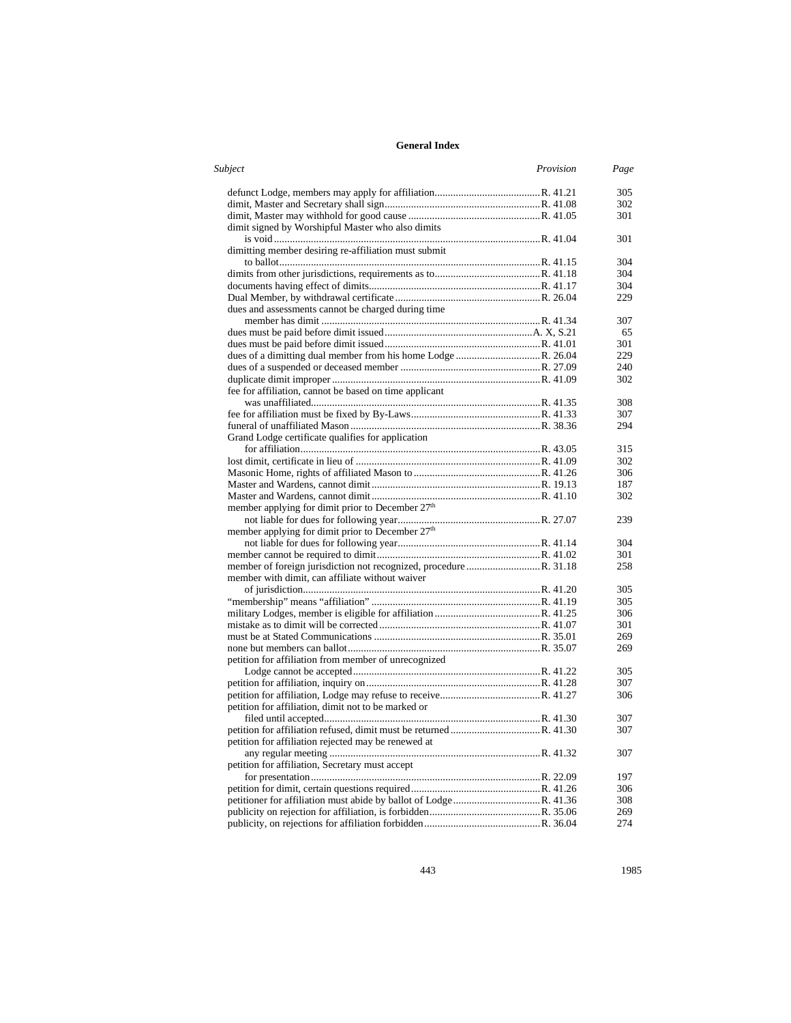| Subject                                                      | Provision | Page       |
|--------------------------------------------------------------|-----------|------------|
|                                                              |           | 305        |
|                                                              |           | 302        |
|                                                              |           | 301        |
| dimit signed by Worshipful Master who also dimits            |           |            |
|                                                              |           | 301        |
| dimitting member desiring re-affiliation must submit         |           |            |
|                                                              |           | 304        |
|                                                              |           | 304        |
|                                                              |           | 304        |
|                                                              |           | 229        |
| dues and assessments cannot be charged during time           |           |            |
|                                                              |           | 307        |
|                                                              |           | 65         |
|                                                              |           | 301        |
|                                                              |           | 229        |
|                                                              |           | 240        |
|                                                              |           | 302        |
| fee for affiliation, cannot be based on time applicant       |           |            |
|                                                              |           | 308        |
|                                                              |           | 307        |
|                                                              |           | 294        |
| Grand Lodge certificate qualifies for application            |           |            |
|                                                              |           | 315        |
|                                                              |           | 302        |
|                                                              |           | 306        |
|                                                              |           | 187        |
|                                                              |           | 302        |
| member applying for dimit prior to December 27 <sup>th</sup> |           |            |
|                                                              |           | 239        |
| member applying for dimit prior to December 27 <sup>th</sup> |           |            |
|                                                              |           | 304        |
|                                                              |           | 301        |
|                                                              |           | 258        |
| member with dimit, can affiliate without waiver              |           |            |
|                                                              |           | 305        |
|                                                              |           | 305        |
|                                                              |           | 306        |
|                                                              |           | 301        |
|                                                              |           | 269        |
|                                                              |           | 269        |
| petition for affiliation from member of unrecognized         |           |            |
|                                                              |           | 305        |
|                                                              |           | 307<br>306 |
|                                                              |           |            |
| petition for affiliation, dimit not to be marked or          |           | 307        |
|                                                              |           | 307        |
| petition for affiliation rejected may be renewed at          |           |            |
|                                                              |           | 307        |
| petition for affiliation, Secretary must accept              |           |            |
|                                                              |           |            |
|                                                              |           | 197<br>306 |
|                                                              |           | 308        |
|                                                              |           | 269        |
|                                                              |           | 274        |
|                                                              |           |            |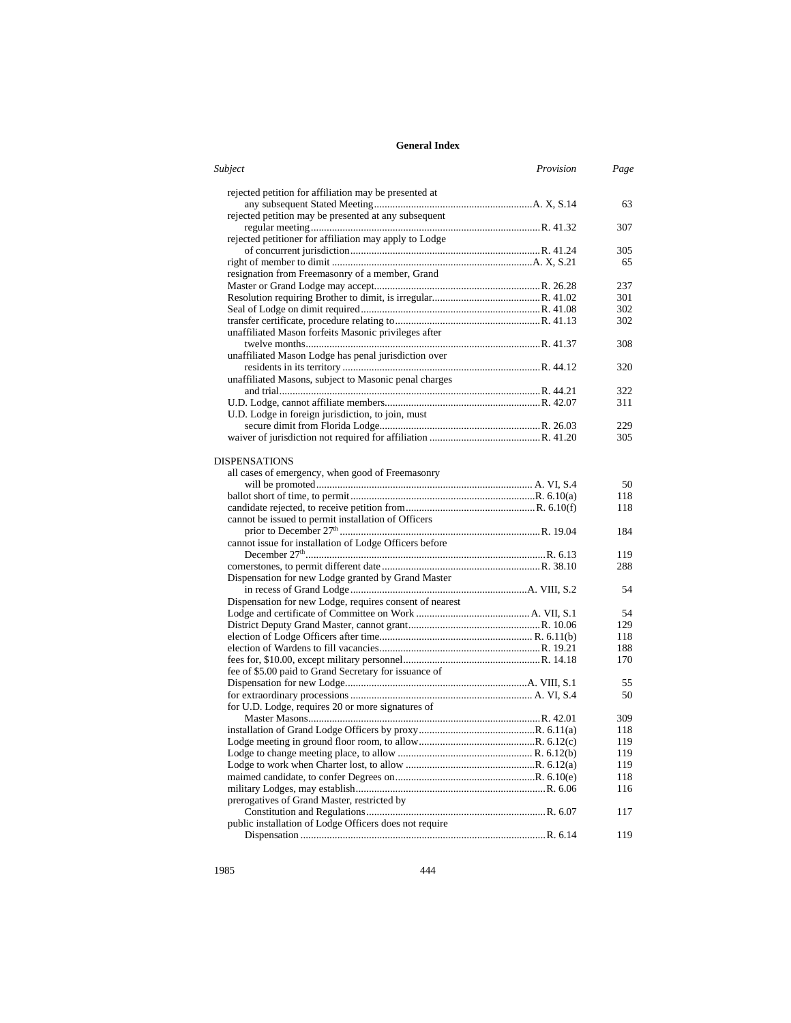| Subject<br>Provision                                    | Page      |
|---------------------------------------------------------|-----------|
| rejected petition for affiliation may be presented at   |           |
|                                                         | 63        |
| rejected petition may be presented at any subsequent    |           |
|                                                         | 307       |
| rejected petitioner for affiliation may apply to Lodge  |           |
|                                                         | 305       |
|                                                         | 65        |
| resignation from Freemasonry of a member, Grand         |           |
|                                                         | 237       |
|                                                         | 301       |
|                                                         | 302       |
|                                                         | 302       |
| unaffiliated Mason forfeits Masonic privileges after    |           |
|                                                         | 308       |
| unaffiliated Mason Lodge has penal jurisdiction over    |           |
|                                                         | 320       |
| unaffiliated Masons, subject to Masonic penal charges   |           |
|                                                         | 322       |
|                                                         | 311       |
| U.D. Lodge in foreign jurisdiction, to join, must       |           |
|                                                         | 229       |
|                                                         | 305       |
|                                                         |           |
| DISPENSATIONS                                           |           |
| all cases of emergency, when good of Freemasonry        |           |
|                                                         | 50<br>118 |
|                                                         | 118       |
|                                                         |           |
| cannot be issued to permit installation of Officers     |           |
|                                                         | 184       |
| cannot issue for installation of Lodge Officers before  |           |
|                                                         | 119       |
|                                                         | 288       |
| Dispensation for new Lodge granted by Grand Master      |           |
|                                                         | 54        |
| Dispensation for new Lodge, requires consent of nearest |           |
|                                                         | 54        |
|                                                         | 129       |
|                                                         | 118       |
|                                                         | 188       |
|                                                         | 170       |
| fee of \$5.00 paid to Grand Secretary for issuance of   |           |
|                                                         | 55        |
|                                                         | 50        |
| for U.D. Lodge, requires 20 or more signatures of       |           |
|                                                         | 309       |
|                                                         | 118       |
|                                                         | 119       |
|                                                         | 119       |
|                                                         | 119       |
|                                                         | 118       |
|                                                         | 116       |
| prerogatives of Grand Master, restricted by             |           |
|                                                         | 117       |
| public installation of Lodge Officers does not require  |           |
|                                                         | 119       |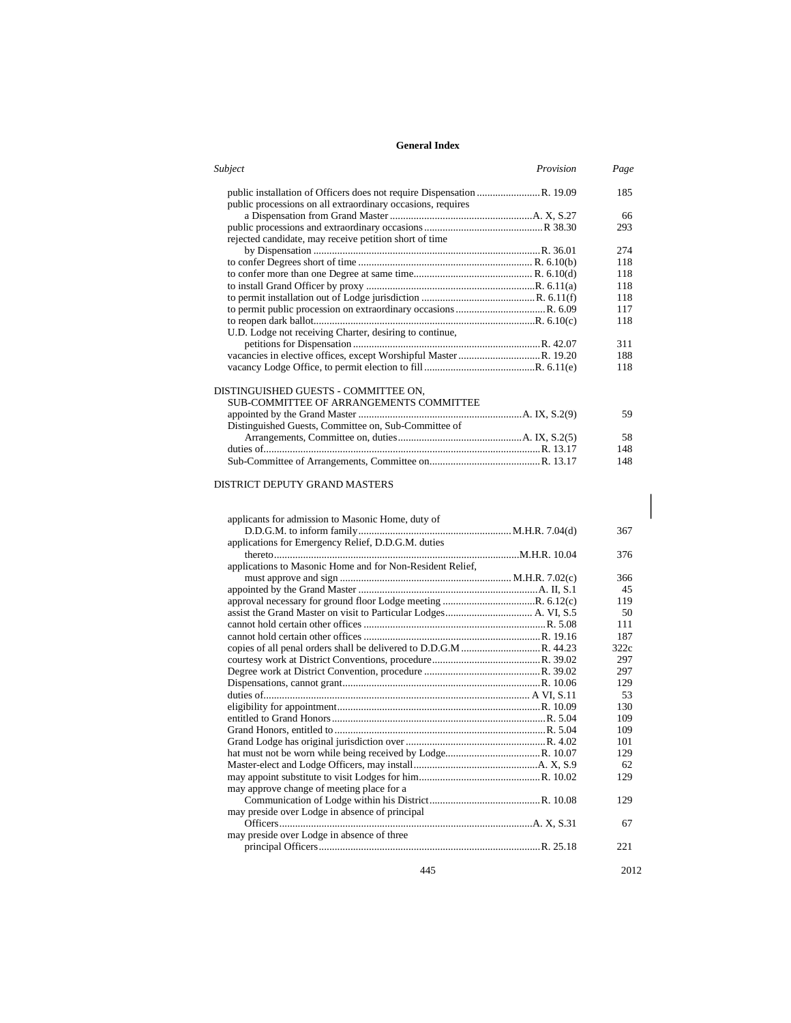| Subject<br>Provision                                        | Page |
|-------------------------------------------------------------|------|
|                                                             | 185  |
| public processions on all extraordinary occasions, requires |      |
|                                                             | 66   |
|                                                             | 293  |
| rejected candidate, may receive petition short of time      |      |
|                                                             | 274  |
|                                                             | 118  |
|                                                             | 118  |
|                                                             | 118  |
|                                                             | 118  |
|                                                             | 117  |
|                                                             | 118  |
| U.D. Lodge not receiving Charter, desiring to continue,     |      |
|                                                             | 311  |
|                                                             | 188  |
|                                                             | 118  |
|                                                             |      |
| DISTINGUISHED GUESTS - COMMITTEE ON.                        |      |
| SUB-COMMITTEE OF ARRANGEMENTS COMMITTEE                     |      |
|                                                             |      |
|                                                             | 59   |
| Distinguished Guests, Committee on, Sub-Committee of        |      |
|                                                             | 58   |
|                                                             | 148  |

Sub-Committee of Arrangements, Committee on..........................................R. 13.17 148

### DISTRICT DEPUTY GRAND MASTERS

| applicants for admission to Masonic Home, duty of         |      |
|-----------------------------------------------------------|------|
|                                                           | 367  |
| applications for Emergency Relief, D.D.G.M. duties        |      |
|                                                           | 376  |
| applications to Masonic Home and for Non-Resident Relief, |      |
|                                                           | 366  |
|                                                           | 45   |
|                                                           | 119  |
|                                                           | 50   |
|                                                           | 111  |
|                                                           | 187  |
|                                                           | 322c |
|                                                           | 297  |
|                                                           | 297  |
|                                                           | 129  |
|                                                           | 53   |
|                                                           | 130  |
|                                                           | 109  |
|                                                           | 109  |
|                                                           | 101  |
|                                                           | 129  |
|                                                           | 62   |
|                                                           | 129  |
| may approve change of meeting place for a                 |      |
|                                                           | 129  |
| may preside over Lodge in absence of principal            |      |
|                                                           | 67   |
| may preside over Lodge in absence of three                |      |
|                                                           | 221  |

445 2012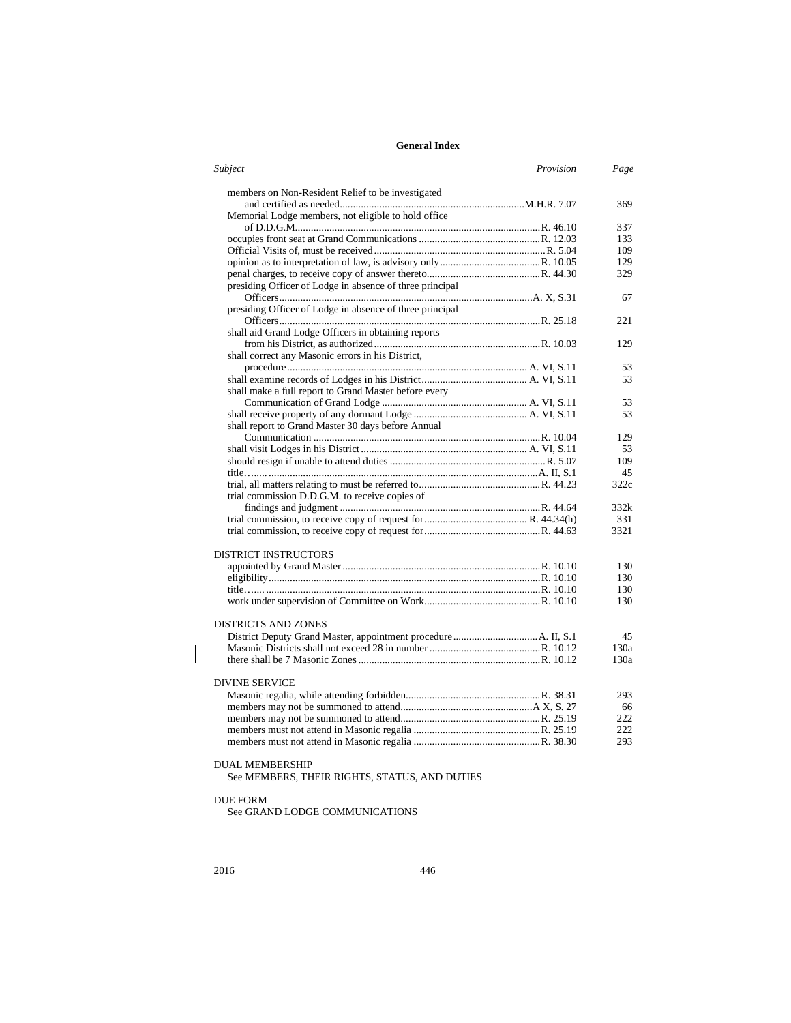| Subject                                                  | Provision | Page |
|----------------------------------------------------------|-----------|------|
| members on Non-Resident Relief to be investigated        |           |      |
|                                                          |           | 369  |
| Memorial Lodge members, not eligible to hold office      |           |      |
|                                                          |           | 337  |
|                                                          |           | 133  |
|                                                          |           | 109  |
|                                                          |           | 129  |
|                                                          |           | 329  |
| presiding Officer of Lodge in absence of three principal |           |      |
|                                                          |           | 67   |
| presiding Officer of Lodge in absence of three principal |           |      |
|                                                          |           | 221  |
| shall aid Grand Lodge Officers in obtaining reports      |           |      |
|                                                          |           | 129  |
| shall correct any Masonic errors in his District,        |           |      |
|                                                          |           | 53   |
|                                                          |           | 53   |
| shall make a full report to Grand Master before every    |           |      |
|                                                          |           | 53   |
|                                                          |           | 53   |
| shall report to Grand Master 30 days before Annual       |           |      |
|                                                          |           | 129  |
|                                                          |           | 53   |
|                                                          |           | 109  |
|                                                          |           | 45   |
|                                                          |           | 322c |
| trial commission D.D.G.M. to receive copies of           |           |      |
|                                                          |           | 332k |
|                                                          |           | 331  |
|                                                          |           | 3321 |
| <b>DISTRICT INSTRUCTORS</b>                              |           |      |
|                                                          |           | 130  |
|                                                          |           | 130  |
|                                                          |           | 130  |
|                                                          |           | 130  |
| DISTRICTS AND ZONES                                      |           |      |
|                                                          |           | 45   |
|                                                          |           | 130a |
|                                                          |           | 130a |
| DIVINE SERVICE                                           |           |      |
|                                                          |           | 293  |
|                                                          |           | 66   |
|                                                          |           | 222  |
|                                                          |           | 222  |
|                                                          |           | 293  |
| <b>DUAL MEMBERSHIP</b>                                   |           |      |
| See MEMBERS, THEIR RIGHTS, STATUS, AND DUTIES            |           |      |

### DUE FORM

 $\overline{\phantom{a}}$ 

See GRAND LODGE COMMUNICATIONS